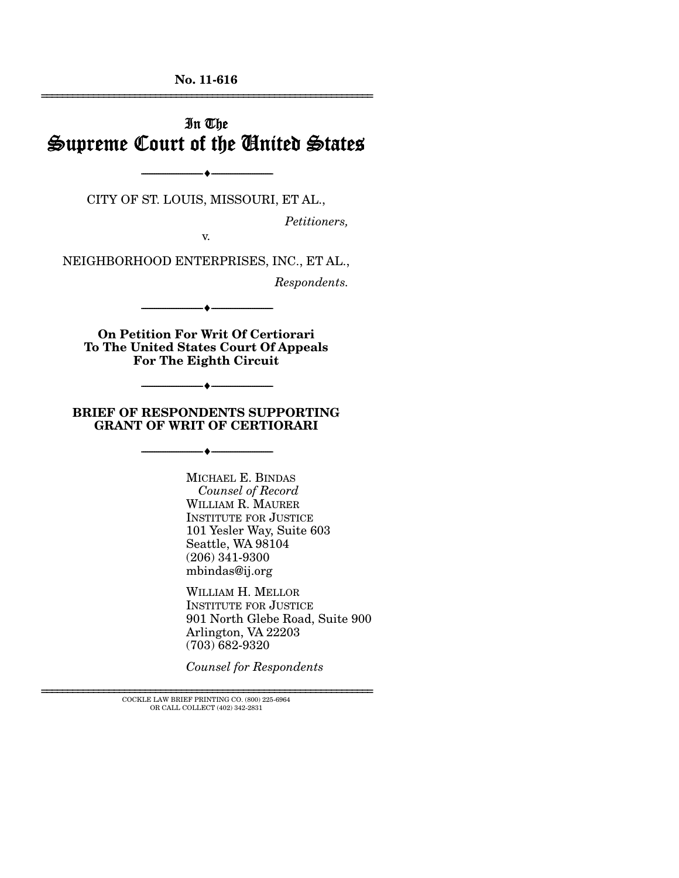**No. 11-616**  ================================================================

## In The Supreme Court of the United States

CITY OF ST. LOUIS, MISSOURI, ET AL.,

--------------------------------- ♦ ---------------------------------

*Petitioners,* 

v.

NEIGHBORHOOD ENTERPRISES, INC., ET AL.,

*Respondents.* 

**On Petition For Writ Of Certiorari To The United States Court Of Appeals For The Eighth Circuit** 

--------------------------------- ♦ ---------------------------------

#### **BRIEF OF RESPONDENTS SUPPORTING GRANT OF WRIT OF CERTIORARI**

--------------------------------- ♦ ---------------------------------

--------------------------------- ♦ ---------------------------------

MICHAEL E. BINDAS *Counsel of Record* WILLIAM R. MAURER INSTITUTE FOR JUSTICE 101 Yesler Way, Suite 603 Seattle, WA 98104 (206) 341-9300 mbindas@ij.org

WILLIAM H. MELLOR INSTITUTE FOR JUSTICE 901 North Glebe Road, Suite 900 Arlington, VA 22203 (703) 682-9320

*Counsel for Respondents* 

================================================================ COCKLE LAW BRIEF PRINTING CO. (800) 225-6964 OR CALL COLLECT (402) 342-2831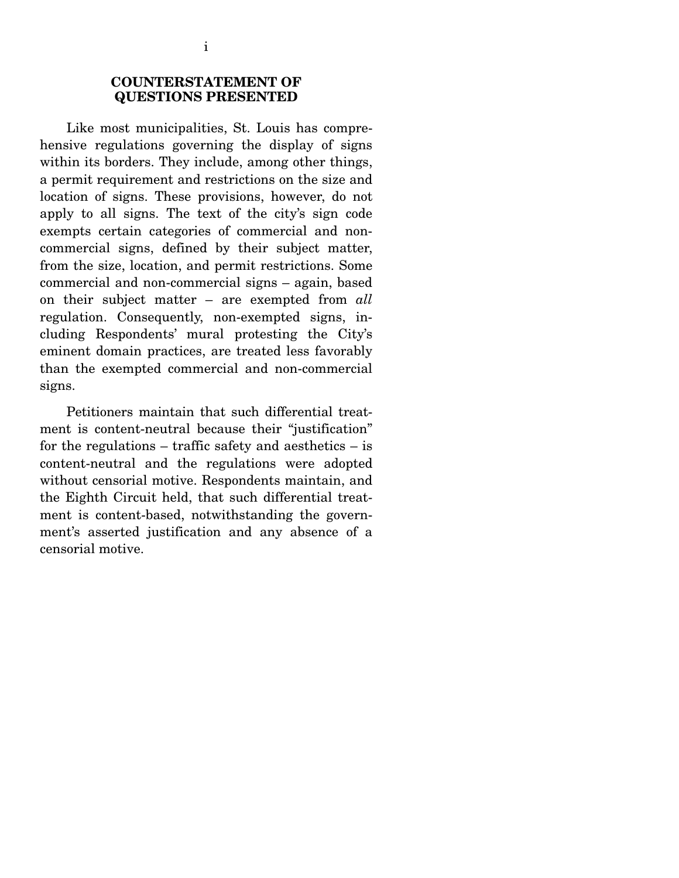### **COUNTERSTATEMENT OF QUESTIONS PRESENTED**

 Like most municipalities, St. Louis has comprehensive regulations governing the display of signs within its borders. They include, among other things, a permit requirement and restrictions on the size and location of signs. These provisions, however, do not apply to all signs. The text of the city's sign code exempts certain categories of commercial and noncommercial signs, defined by their subject matter, from the size, location, and permit restrictions. Some commercial and non-commercial signs – again, based on their subject matter – are exempted from *all* regulation. Consequently, non-exempted signs, including Respondents' mural protesting the City's eminent domain practices, are treated less favorably than the exempted commercial and non-commercial signs.

 Petitioners maintain that such differential treatment is content-neutral because their "justification" for the regulations – traffic safety and aesthetics – is content-neutral and the regulations were adopted without censorial motive. Respondents maintain, and the Eighth Circuit held, that such differential treatment is content-based, notwithstanding the government's asserted justification and any absence of a censorial motive.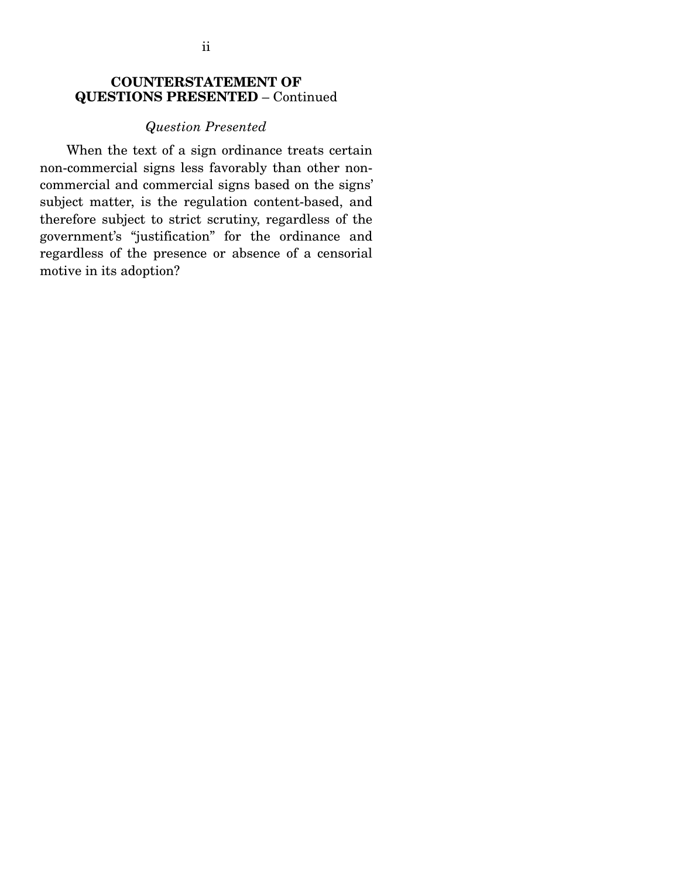## **COUNTERSTATEMENT OF QUESTIONS PRESENTED** – Continued

#### *Question Presented*

 When the text of a sign ordinance treats certain non-commercial signs less favorably than other noncommercial and commercial signs based on the signs' subject matter, is the regulation content-based, and therefore subject to strict scrutiny, regardless of the government's "justification" for the ordinance and regardless of the presence or absence of a censorial motive in its adoption?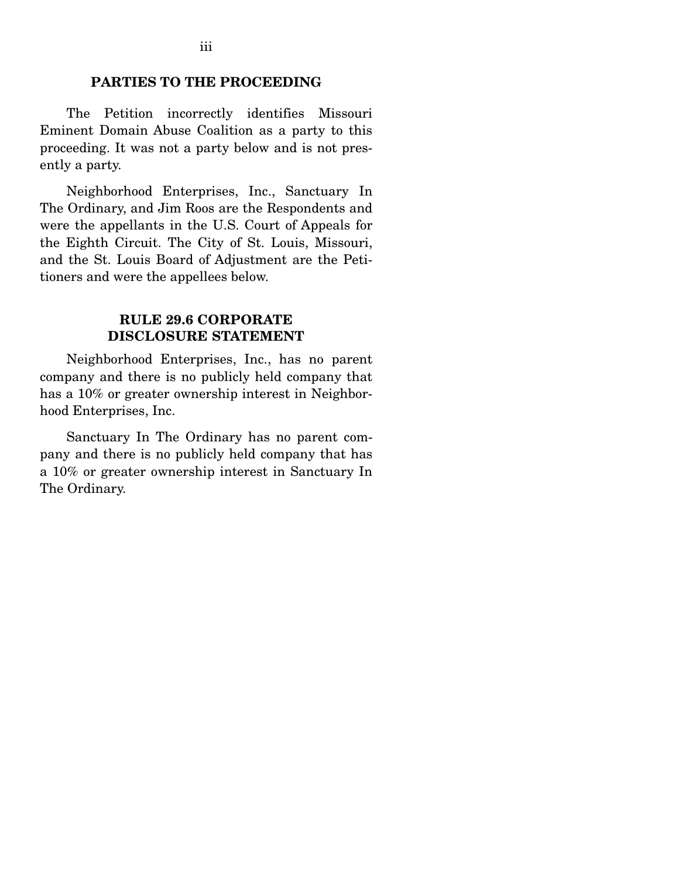### **PARTIES TO THE PROCEEDING**

 The Petition incorrectly identifies Missouri Eminent Domain Abuse Coalition as a party to this proceeding. It was not a party below and is not presently a party.

 Neighborhood Enterprises, Inc., Sanctuary In The Ordinary, and Jim Roos are the Respondents and were the appellants in the U.S. Court of Appeals for the Eighth Circuit. The City of St. Louis, Missouri, and the St. Louis Board of Adjustment are the Petitioners and were the appellees below.

#### **RULE 29.6 CORPORATE DISCLOSURE STATEMENT**

 Neighborhood Enterprises, Inc., has no parent company and there is no publicly held company that has a 10% or greater ownership interest in Neighborhood Enterprises, Inc.

 Sanctuary In The Ordinary has no parent company and there is no publicly held company that has a 10% or greater ownership interest in Sanctuary In The Ordinary.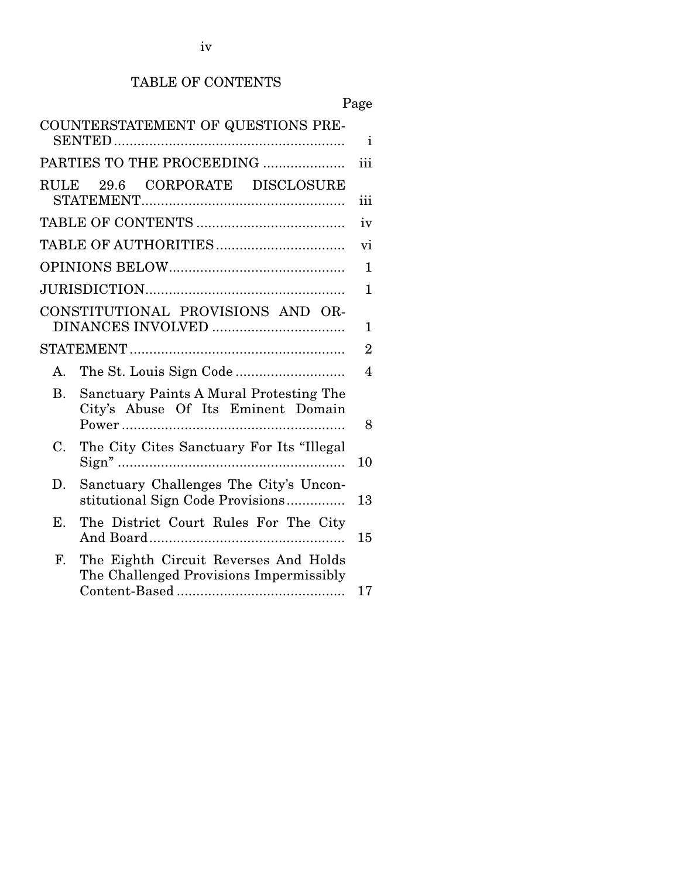## TABLE OF CONTENTS

Page

|                | COUNTERSTATEMENT OF QUESTIONS PRE-                                               | $\mathbf{i}$   |
|----------------|----------------------------------------------------------------------------------|----------------|
|                | PARTIES TO THE PROCEEDING                                                        | iii            |
|                | RULE 29.6 CORPORATE DISCLOSURE                                                   | iii            |
|                |                                                                                  | iv             |
|                |                                                                                  | vi             |
|                |                                                                                  | 1              |
|                |                                                                                  | $\mathbf 1$    |
|                | CONSTITUTIONAL PROVISIONS AND OR-                                                | 1              |
|                |                                                                                  | $\overline{2}$ |
| A.             |                                                                                  | $\overline{4}$ |
| B <sub>1</sub> | Sanctuary Paints A Mural Protesting The<br>City's Abuse Of Its Eminent Domain    | 8              |
| C.             | The City Cites Sanctuary For Its "Illegal                                        | 10             |
| D.             | Sanctuary Challenges The City's Uncon-<br>stitutional Sign Code Provisions       | 13             |
| Ε.             | The District Court Rules For The City                                            | 15             |
| F.             | The Eighth Circuit Reverses And Holds<br>The Challenged Provisions Impermissibly | 17             |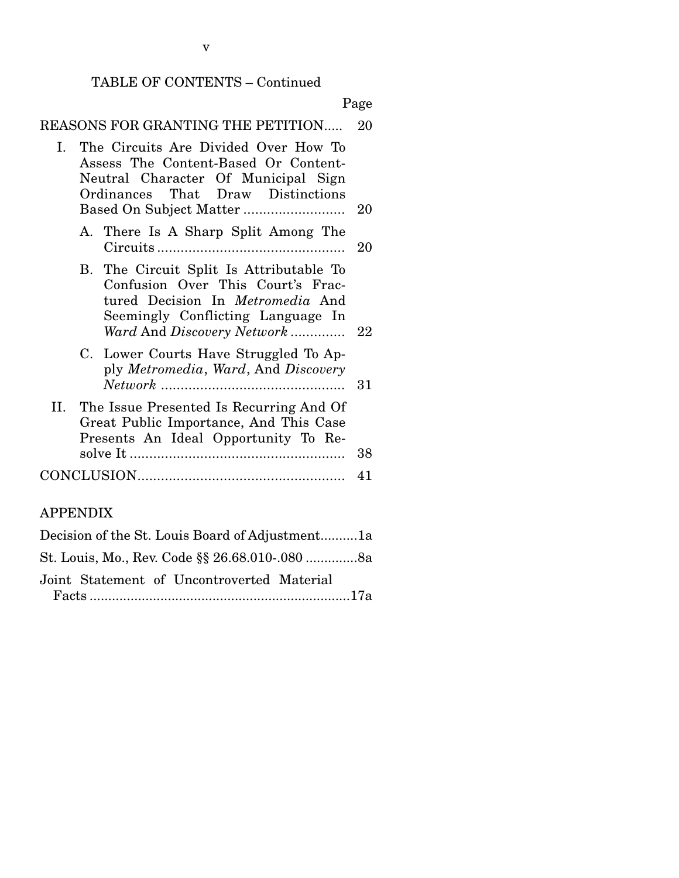## TABLE OF CONTENTS – Continued

|              | Page                                                                                                                                                                                       |    |
|--------------|--------------------------------------------------------------------------------------------------------------------------------------------------------------------------------------------|----|
|              | REASONS FOR GRANTING THE PETITION                                                                                                                                                          | 20 |
| $\mathbf{L}$ | The Circuits Are Divided Over How To<br>Assess The Content-Based Or Content-<br>Neutral Character Of Municipal Sign<br>Ordinances That Draw Distinctions                                   | 20 |
|              | A. There Is A Sharp Split Among The                                                                                                                                                        | 20 |
|              | B. The Circuit Split Is Attributable To<br>Confusion Over This Court's Frac-<br>tured Decision In <i>Metromedia</i> And<br>Seemingly Conflicting Language In<br>Ward And Discovery Network | 22 |
|              | C. Lower Courts Have Struggled To Ap-<br>ply Metromedia, Ward, And Discovery                                                                                                               | 31 |
| II.          | The Issue Presented Is Recurring And Of<br>Great Public Importance, And This Case<br>Presents An Ideal Opportunity To Re-                                                                  | 38 |
|              |                                                                                                                                                                                            | 41 |

## APPENDIX

| Decision of the St. Louis Board of Adjustment1a |  |
|-------------------------------------------------|--|
| St. Louis, Mo., Rev. Code §§ 26.68.010-.080 8a  |  |
| Joint Statement of Uncontroverted Material      |  |
|                                                 |  |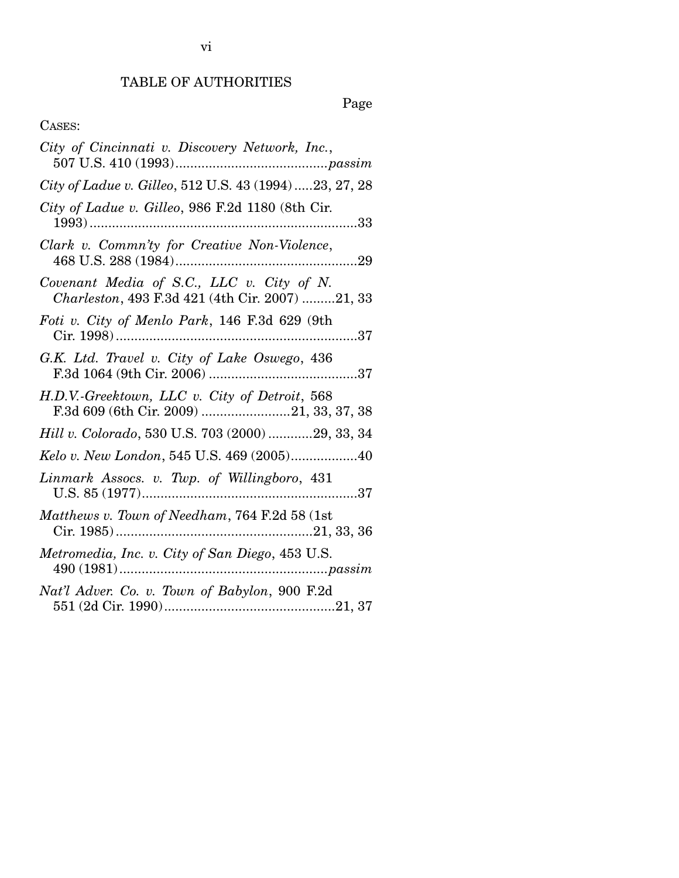# TABLE OF AUTHORITIES

# Page

## CASES:

| City of Cincinnati v. Discovery Network, Inc.,                                               |
|----------------------------------------------------------------------------------------------|
| City of Ladue v. Gilleo, 512 U.S. 43 (1994)23, 27, 28                                        |
| City of Ladue v. Gilleo, 986 F.2d 1180 (8th Cir.                                             |
| Clark v. Commn'ty for Creative Non-Violence,                                                 |
| Covenant Media of S.C., LLC v. City of N.<br>Charleston, 493 F.3d 421 (4th Cir. 2007) 21, 33 |
| Foti v. City of Menlo Park, 146 F.3d 629 (9th                                                |
| G.K. Ltd. Travel v. City of Lake Oswego, 436                                                 |
| H.D.V.-Greektown, LLC v. City of Detroit, 568<br>F.3d 609 (6th Cir. 2009) 21, 33, 37, 38     |
| Hill v. Colorado, 530 U.S. 703 (2000) 29, 33, 34                                             |
| Kelo v. New London, 545 U.S. 469 (2005)40                                                    |
| Linmark Assocs. v. Twp. of Willingboro, 431                                                  |
| Matthews v. Town of Needham, 764 F.2d 58 (1st                                                |
| Metromedia, Inc. v. City of San Diego, 453 U.S.                                              |
| Nat'l Adver. Co. v. Town of Babylon, 900 F.2d                                                |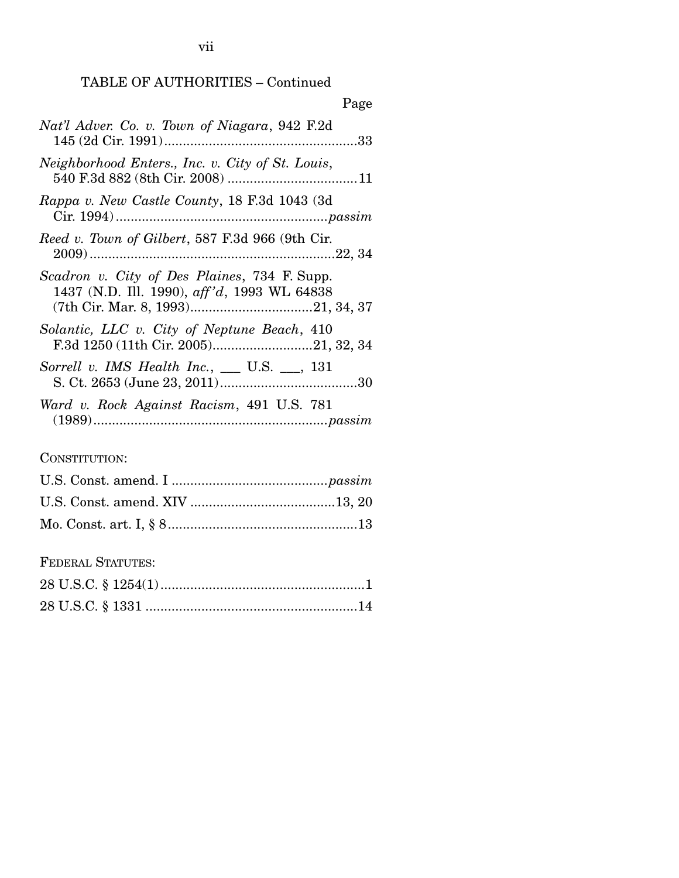|                                                                                             | Page |
|---------------------------------------------------------------------------------------------|------|
| Nat'l Adver. Co. v. Town of Niagara, 942 F.2d                                               |      |
| Neighborhood Enters., Inc. v. City of St. Louis,                                            |      |
| Rappa v. New Castle County, 18 F.3d 1043 (3d                                                |      |
| Reed v. Town of Gilbert, 587 F.3d 966 (9th Cir.                                             |      |
| Scadron v. City of Des Plaines, 734 F. Supp.<br>1437 (N.D. Ill. 1990), aff'd, 1993 WL 64838 |      |
| Solantic, LLC v. City of Neptune Beach, 410                                                 |      |
| Sorrell v. IMS Health Inc., $\_\_$ U.S. $\_\_$ , 131                                        |      |
| Ward v. Rock Against Racism, 491 U.S. 781                                                   |      |

## CONSTITUTION:

## FEDERAL STATUTES: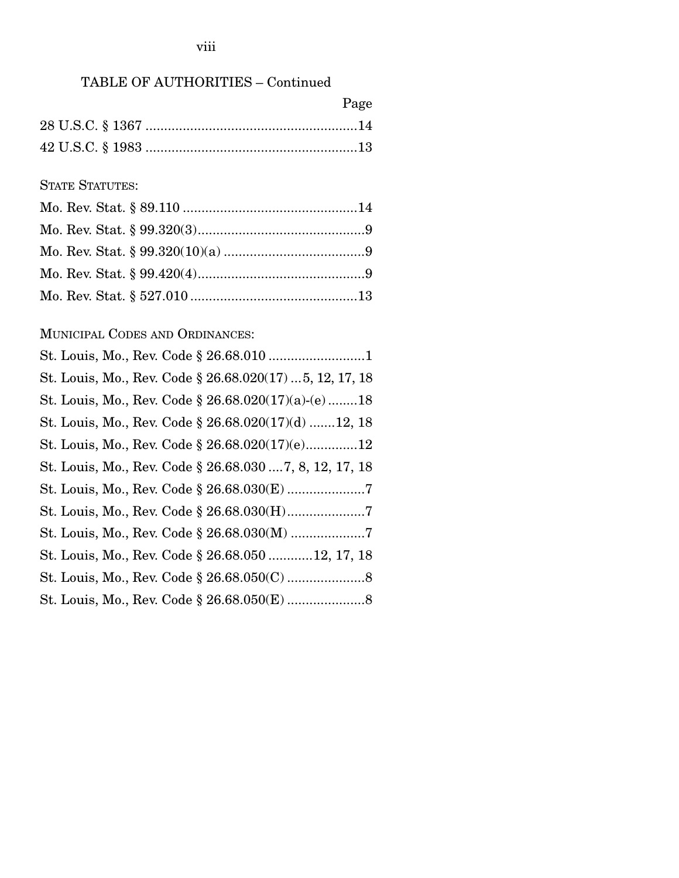| Page |
|------|
|      |
|      |

## STATE STATUTES:

## MUNICIPAL CODES AND ORDINANCES:

| St. Louis, Mo., Rev. Code § 26.68.020(17)  5, 12, 17, 18 |
|----------------------------------------------------------|
| St. Louis, Mo., Rev. Code $\S 26.68.020(17)(a)-(e)$ 18   |
| St. Louis, Mo., Rev. Code § 26.68.020(17)(d) 12, 18      |
| St. Louis, Mo., Rev. Code § 26.68.020(17)(e)12           |
| St. Louis, Mo., Rev. Code § 26.68.030  7, 8, 12, 17, 18  |
|                                                          |
|                                                          |
| St. Louis, Mo., Rev. Code § 26.68.030(M) 7               |
| St. Louis, Mo., Rev. Code § 26.68.050 12, 17, 18         |
|                                                          |
|                                                          |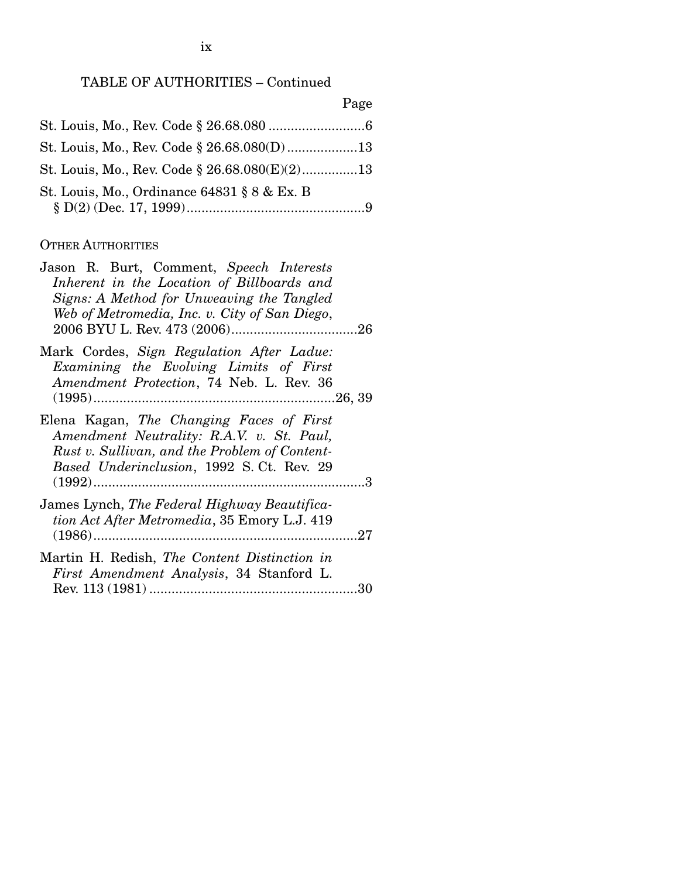Page

| St. Louis, Mo., Rev. Code $\S 26.68.080(E)(2)$ 13 |  |
|---------------------------------------------------|--|
| St. Louis, Mo., Ordinance 64831 § 8 & Ex. B       |  |

#### OTHER AUTHORITIES

| Jason R. Burt, Comment, Speech Interests<br>Inherent in the Location of Billboards and<br>Signs: A Method for Unweaving the Tangled<br>Web of Metromedia, Inc. v. City of San Diego, |
|--------------------------------------------------------------------------------------------------------------------------------------------------------------------------------------|
| Mark Cordes, Sign Regulation After Ladue:<br>Examining the Evolving Limits of First<br>Amendment Protection, 74 Neb. L. Rev. 36                                                      |
| Elena Kagan, The Changing Faces of First<br>Amendment Neutrality: R.A.V. v. St. Paul,<br>Rust v. Sullivan, and the Problem of Content-<br>Based Underinclusion, 1992 S.Ct. Rev. 29   |
| James Lynch, The Federal Highway Beautifica-<br>tion Act After Metromedia, 35 Emory L.J. 419                                                                                         |
| Martin H. Redish, The Content Distinction in<br>First Amendment Analysis, 34 Stanford L.<br>30                                                                                       |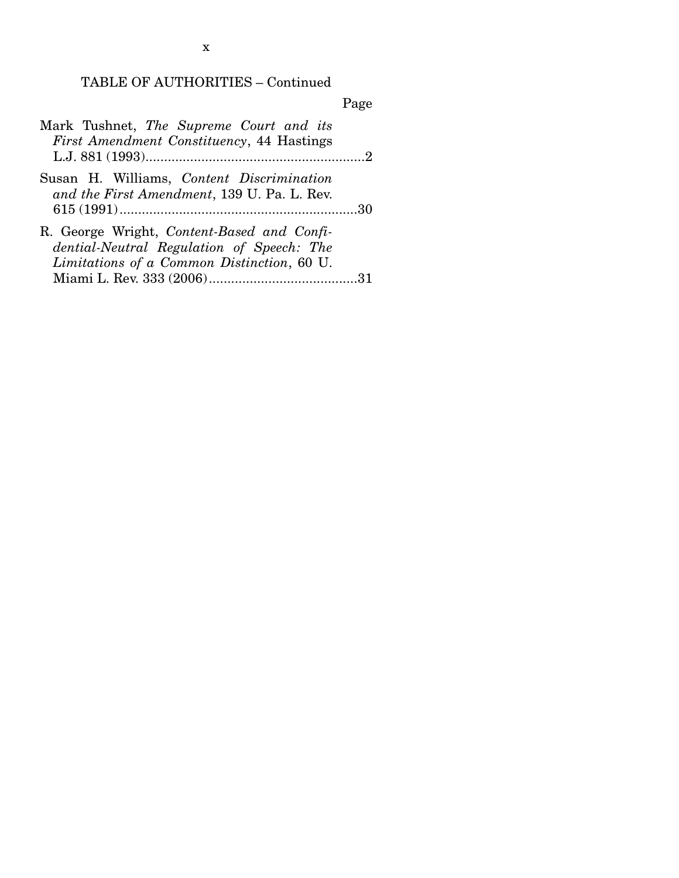|--|

| Mark Tushnet, The Supreme Court and its<br><i>First Amendment Constituency</i> , 44 Hastings                                          |  |
|---------------------------------------------------------------------------------------------------------------------------------------|--|
| Susan H. Williams, Content Discrimination<br>and the First Amendment, 139 U. Pa. L. Rev.                                              |  |
| R. George Wright, Content-Based and Confi-<br>dential-Neutral Regulation of Speech: The<br>Limitations of a Common Distinction, 60 U. |  |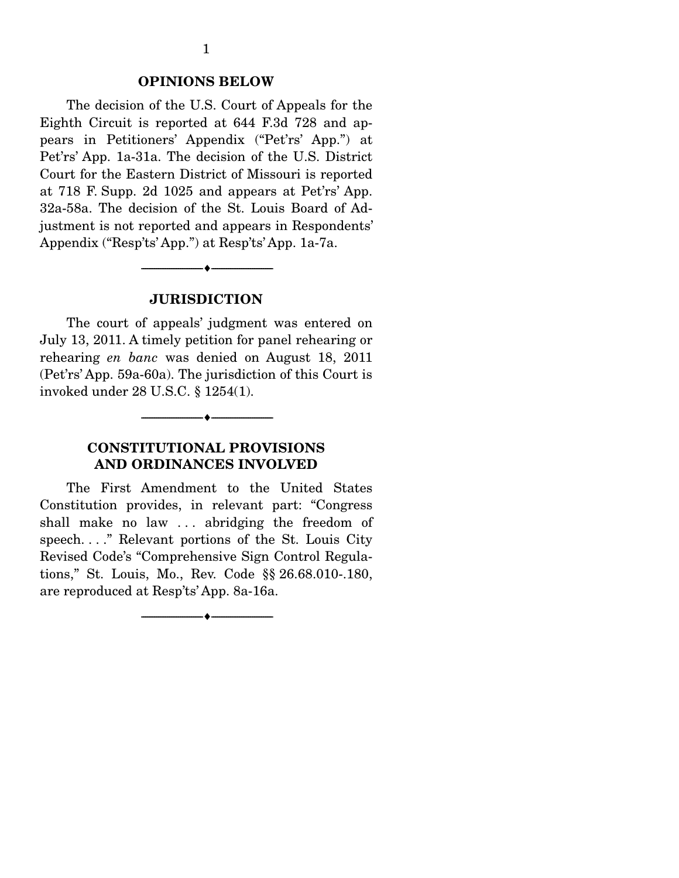#### **OPINIONS BELOW**

 The decision of the U.S. Court of Appeals for the Eighth Circuit is reported at 644 F.3d 728 and appears in Petitioners' Appendix ("Pet'rs' App.") at Pet'rs' App. 1a-31a. The decision of the U.S. District Court for the Eastern District of Missouri is reported at 718 F. Supp. 2d 1025 and appears at Pet'rs' App. 32a-58a. The decision of the St. Louis Board of Adjustment is not reported and appears in Respondents' Appendix ("Resp'ts' App.") at Resp'ts' App. 1a-7a.

#### **JURISDICTION**

--------------------------------- ♦ ---------------------------------

 The court of appeals' judgment was entered on July 13, 2011. A timely petition for panel rehearing or rehearing *en banc* was denied on August 18, 2011 (Pet'rs' App. 59a-60a). The jurisdiction of this Court is invoked under 28 U.S.C. § 1254(1).

#### **CONSTITUTIONAL PROVISIONS AND ORDINANCES INVOLVED**

 $\overbrace{\hspace{2.5cm}}$   $\overbrace{\hspace{2.5cm}}$   $\overbrace{\hspace{2.5cm}}$ 

 The First Amendment to the United States Constitution provides, in relevant part: "Congress shall make no law . . . abridging the freedom of speech. . . ." Relevant portions of the St. Louis City Revised Code's "Comprehensive Sign Control Regulations," St. Louis, Mo., Rev. Code §§ 26.68.010-.180, are reproduced at Resp'ts' App. 8a-16a.

--------------------------------- ♦ ---------------------------------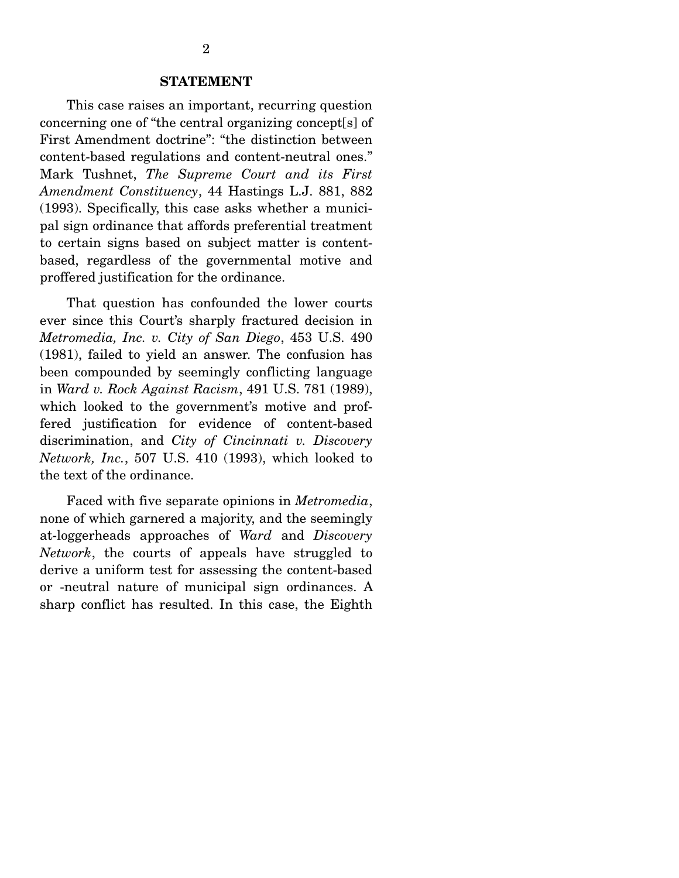This case raises an important, recurring question concerning one of "the central organizing concept[s] of First Amendment doctrine": "the distinction between content-based regulations and content-neutral ones." Mark Tushnet, *The Supreme Court and its First Amendment Constituency*, 44 Hastings L.J. 881, 882 (1993). Specifically, this case asks whether a municipal sign ordinance that affords preferential treatment to certain signs based on subject matter is contentbased, regardless of the governmental motive and proffered justification for the ordinance.

 That question has confounded the lower courts ever since this Court's sharply fractured decision in *Metromedia, Inc. v. City of San Diego*, 453 U.S. 490 (1981), failed to yield an answer. The confusion has been compounded by seemingly conflicting language in *Ward v. Rock Against Racism*, 491 U.S. 781 (1989), which looked to the government's motive and proffered justification for evidence of content-based discrimination, and *City of Cincinnati v. Discovery Network, Inc.*, 507 U.S. 410 (1993), which looked to the text of the ordinance.

 Faced with five separate opinions in *Metromedia*, none of which garnered a majority, and the seemingly at-loggerheads approaches of *Ward* and *Discovery Network*, the courts of appeals have struggled to derive a uniform test for assessing the content-based or -neutral nature of municipal sign ordinances. A sharp conflict has resulted. In this case, the Eighth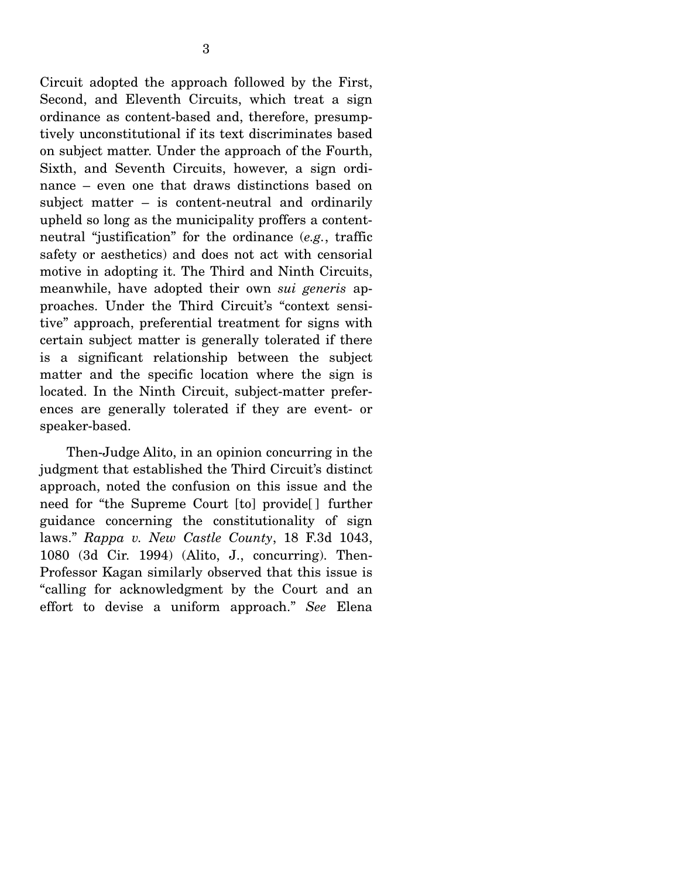Circuit adopted the approach followed by the First, Second, and Eleventh Circuits, which treat a sign ordinance as content-based and, therefore, presumptively unconstitutional if its text discriminates based on subject matter. Under the approach of the Fourth, Sixth, and Seventh Circuits, however, a sign ordinance – even one that draws distinctions based on subject matter – is content-neutral and ordinarily

upheld so long as the municipality proffers a contentneutral "justification" for the ordinance (*e.g.*, traffic safety or aesthetics) and does not act with censorial motive in adopting it. The Third and Ninth Circuits, meanwhile, have adopted their own *sui generis* approaches. Under the Third Circuit's "context sensitive" approach, preferential treatment for signs with certain subject matter is generally tolerated if there is a significant relationship between the subject matter and the specific location where the sign is located. In the Ninth Circuit, subject-matter preferences are generally tolerated if they are event- or speaker-based.

 Then-Judge Alito, in an opinion concurring in the judgment that established the Third Circuit's distinct approach, noted the confusion on this issue and the need for "the Supreme Court [to] provide[ ] further guidance concerning the constitutionality of sign laws." *Rappa v. New Castle County*, 18 F.3d 1043, 1080 (3d Cir. 1994) (Alito, J., concurring). Then-Professor Kagan similarly observed that this issue is "calling for acknowledgment by the Court and an effort to devise a uniform approach." *See* Elena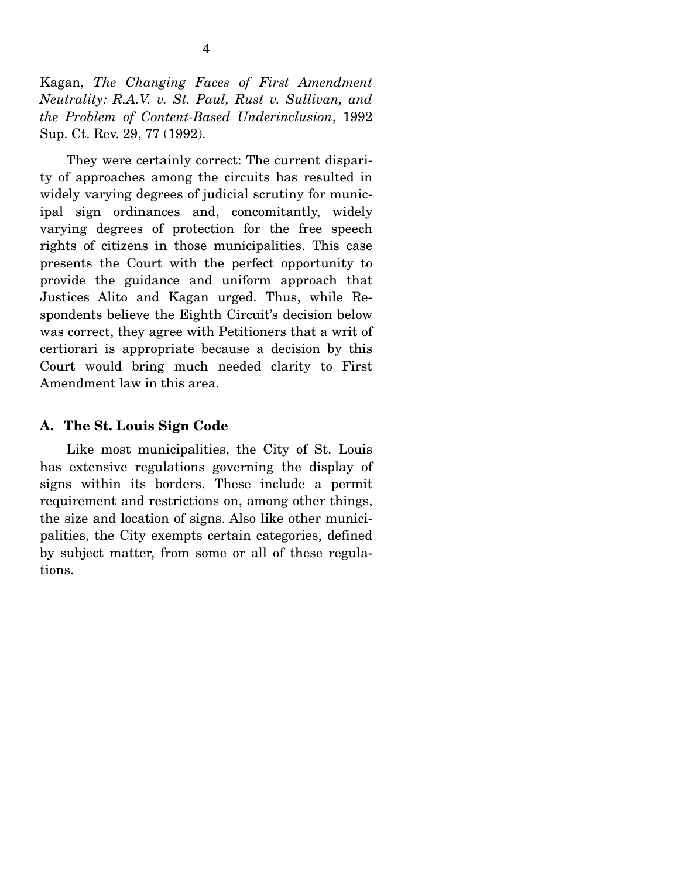Kagan, *The Changing Faces of First Amendment Neutrality: R.A.V. v. St. Paul, Rust v. Sullivan, and the Problem of Content-Based Underinclusion*, 1992 Sup. Ct. Rev. 29, 77 (1992).

 They were certainly correct: The current disparity of approaches among the circuits has resulted in widely varying degrees of judicial scrutiny for municipal sign ordinances and, concomitantly, widely varying degrees of protection for the free speech rights of citizens in those municipalities. This case presents the Court with the perfect opportunity to provide the guidance and uniform approach that Justices Alito and Kagan urged. Thus, while Respondents believe the Eighth Circuit's decision below was correct, they agree with Petitioners that a writ of certiorari is appropriate because a decision by this Court would bring much needed clarity to First Amendment law in this area.

#### **A. The St. Louis Sign Code**

 Like most municipalities, the City of St. Louis has extensive regulations governing the display of signs within its borders. These include a permit requirement and restrictions on, among other things, the size and location of signs. Also like other municipalities, the City exempts certain categories, defined by subject matter, from some or all of these regulations.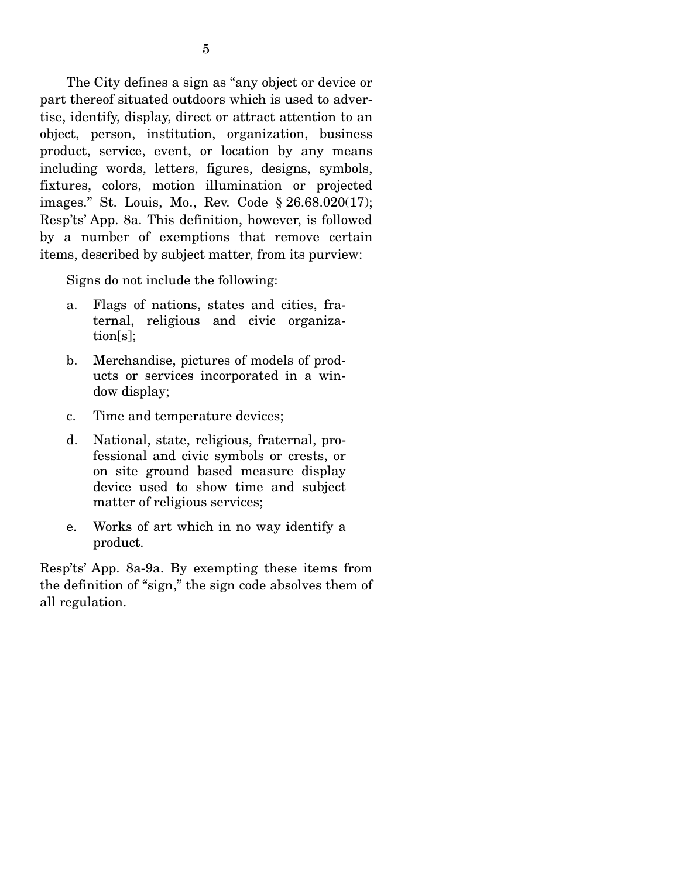The City defines a sign as "any object or device or part thereof situated outdoors which is used to advertise, identify, display, direct or attract attention to an object, person, institution, organization, business product, service, event, or location by any means including words, letters, figures, designs, symbols, fixtures, colors, motion illumination or projected images." St. Louis, Mo., Rev. Code § 26.68.020(17); Resp'ts' App. 8a. This definition, however, is followed by a number of exemptions that remove certain items, described by subject matter, from its purview:

Signs do not include the following:

- a. Flags of nations, states and cities, fraternal, religious and civic organization[s];
- b. Merchandise, pictures of models of products or services incorporated in a window display;
- c. Time and temperature devices;
- d. National, state, religious, fraternal, professional and civic symbols or crests, or on site ground based measure display device used to show time and subject matter of religious services;
- e. Works of art which in no way identify a product.

Resp'ts' App. 8a-9a. By exempting these items from the definition of "sign," the sign code absolves them of all regulation.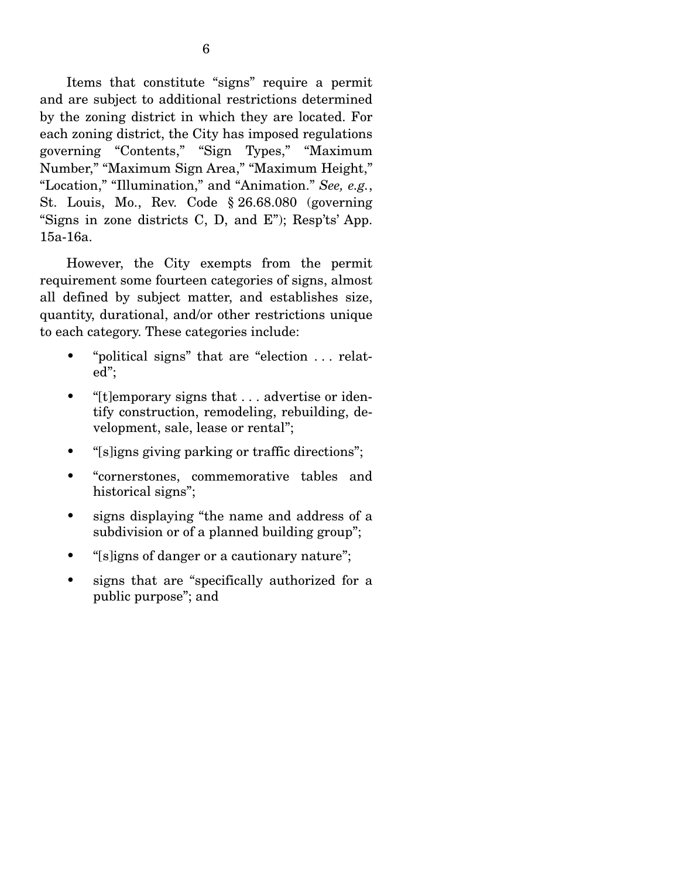Items that constitute "signs" require a permit and are subject to additional restrictions determined by the zoning district in which they are located. For each zoning district, the City has imposed regulations governing "Contents," "Sign Types," "Maximum Number," "Maximum Sign Area," "Maximum Height," "Location," "Illumination," and "Animation." *See, e.g.*, St. Louis, Mo., Rev. Code § 26.68.080 (governing "Signs in zone districts C, D, and E"); Resp'ts' App. 15a-16a.

 However, the City exempts from the permit requirement some fourteen categories of signs, almost all defined by subject matter, and establishes size, quantity, durational, and/or other restrictions unique to each category. These categories include:

- "political signs" that are "election . . . related";
- "[t]emporary signs that . . . advertise or identify construction, remodeling, rebuilding, development, sale, lease or rental";
- "[s]igns giving parking or traffic directions";
- "cornerstones, commemorative tables and historical signs";
- signs displaying "the name and address of a subdivision or of a planned building group";
- "[s]igns of danger or a cautionary nature";
- signs that are "specifically authorized for a public purpose"; and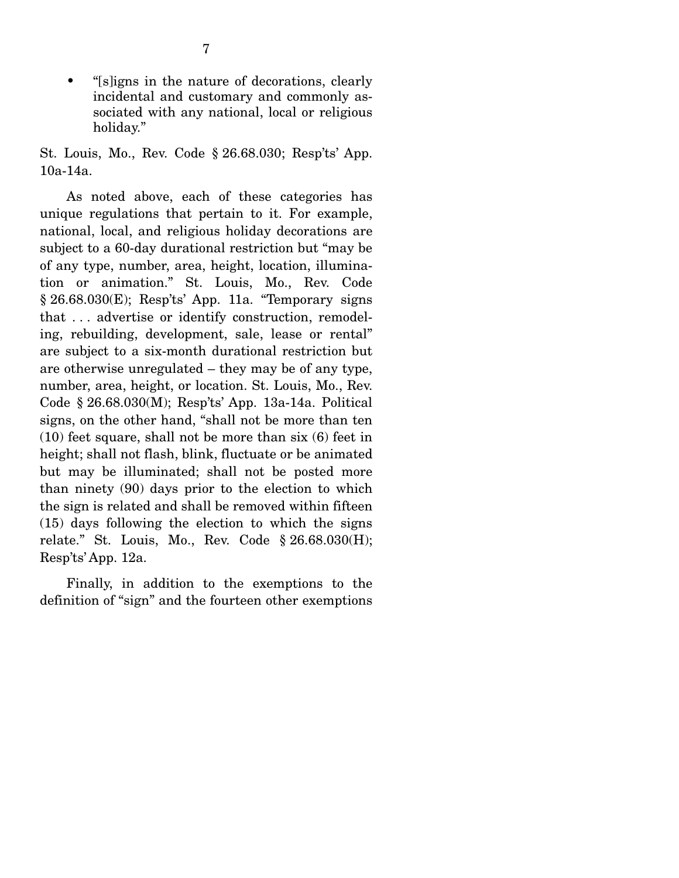• "[s]igns in the nature of decorations, clearly incidental and customary and commonly associated with any national, local or religious holiday."

St. Louis, Mo., Rev. Code § 26.68.030; Resp'ts' App. 10a-14a.

 As noted above, each of these categories has unique regulations that pertain to it. For example, national, local, and religious holiday decorations are subject to a 60-day durational restriction but "may be of any type, number, area, height, location, illumination or animation." St. Louis, Mo., Rev. Code  $§ 26.68.030(E);$  Resp'ts' App. 11a. "Temporary signs that . . . advertise or identify construction, remodeling, rebuilding, development, sale, lease or rental" are subject to a six-month durational restriction but are otherwise unregulated – they may be of any type, number, area, height, or location. St. Louis, Mo., Rev. Code § 26.68.030(M); Resp'ts' App. 13a-14a. Political signs, on the other hand, "shall not be more than ten (10) feet square, shall not be more than six (6) feet in height; shall not flash, blink, fluctuate or be animated but may be illuminated; shall not be posted more than ninety (90) days prior to the election to which the sign is related and shall be removed within fifteen (15) days following the election to which the signs relate." St. Louis, Mo., Rev. Code § 26.68.030(H); Resp'ts' App. 12a.

 Finally, in addition to the exemptions to the definition of "sign" and the fourteen other exemptions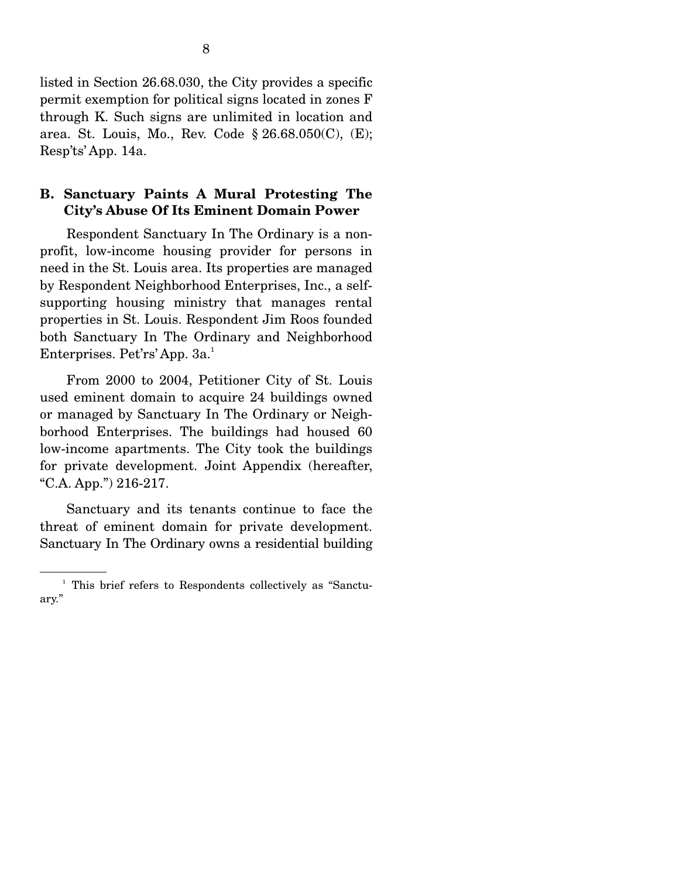listed in Section 26.68.030, the City provides a specific permit exemption for political signs located in zones F through K. Such signs are unlimited in location and area. St. Louis, Mo., Rev. Code § 26.68.050(C), (E); Resp'ts' App. 14a.

### **B. Sanctuary Paints A Mural Protesting The City's Abuse Of Its Eminent Domain Power**

 Respondent Sanctuary In The Ordinary is a nonprofit, low-income housing provider for persons in need in the St. Louis area. Its properties are managed by Respondent Neighborhood Enterprises, Inc., a selfsupporting housing ministry that manages rental properties in St. Louis. Respondent Jim Roos founded both Sanctuary In The Ordinary and Neighborhood Enterprises. Pet'rs' App. 3a. $^1$ 

 From 2000 to 2004, Petitioner City of St. Louis used eminent domain to acquire 24 buildings owned or managed by Sanctuary In The Ordinary or Neighborhood Enterprises. The buildings had housed 60 low-income apartments. The City took the buildings for private development. Joint Appendix (hereafter, "C.A. App.") 216-217.

 Sanctuary and its tenants continue to face the threat of eminent domain for private development. Sanctuary In The Ordinary owns a residential building

<sup>&</sup>lt;sup>1</sup> This brief refers to Respondents collectively as "Sanctuary."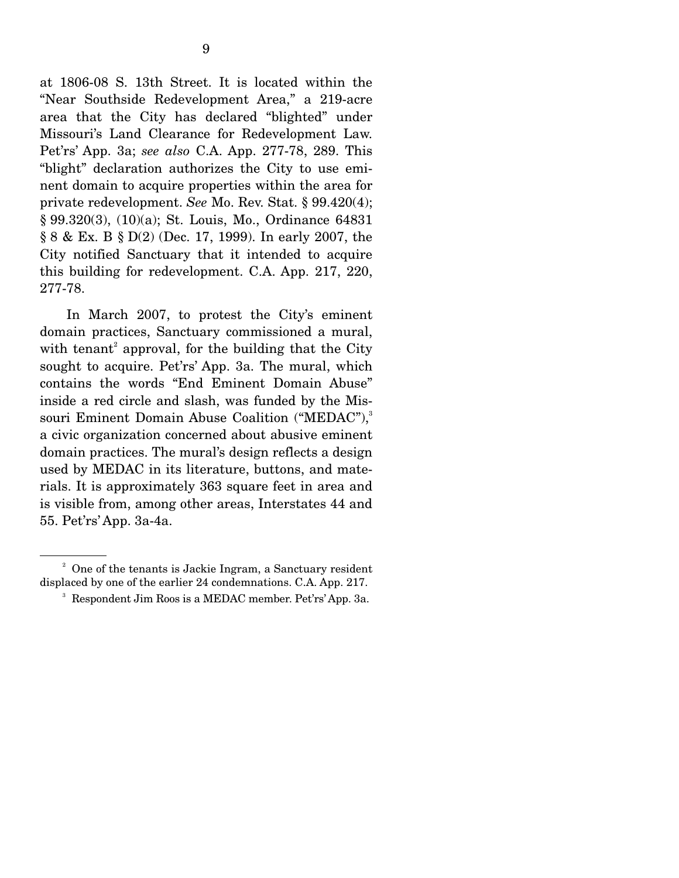at 1806-08 S. 13th Street. It is located within the "Near Southside Redevelopment Area," a 219-acre area that the City has declared "blighted" under Missouri's Land Clearance for Redevelopment Law. Pet'rs' App. 3a; *see also* C.A. App. 277-78, 289. This "blight" declaration authorizes the City to use eminent domain to acquire properties within the area for private redevelopment. *See* Mo. Rev. Stat. § 99.420(4); § 99.320(3), (10)(a); St. Louis, Mo., Ordinance 64831 § 8 & Ex. B § D(2) (Dec. 17, 1999). In early 2007, the City notified Sanctuary that it intended to acquire this building for redevelopment. C.A. App. 217, 220, 277-78.

 In March 2007, to protest the City's eminent domain practices, Sanctuary commissioned a mural, with tenant<sup>2</sup> approval, for the building that the City sought to acquire. Pet'rs' App. 3a. The mural, which contains the words "End Eminent Domain Abuse" inside a red circle and slash, was funded by the Missouri Eminent Domain Abuse Coalition ("MEDAC"),<sup>3</sup> a civic organization concerned about abusive eminent domain practices. The mural's design reflects a design used by MEDAC in its literature, buttons, and materials. It is approximately 363 square feet in area and is visible from, among other areas, Interstates 44 and 55. Pet'rs' App. 3a-4a.

<sup>&</sup>lt;sup>2</sup> One of the tenants is Jackie Ingram, a Sanctuary resident displaced by one of the earlier 24 condemnations. C.A. App. 217.

<sup>3</sup> Respondent Jim Roos is a MEDAC member. Pet'rs' App. 3a.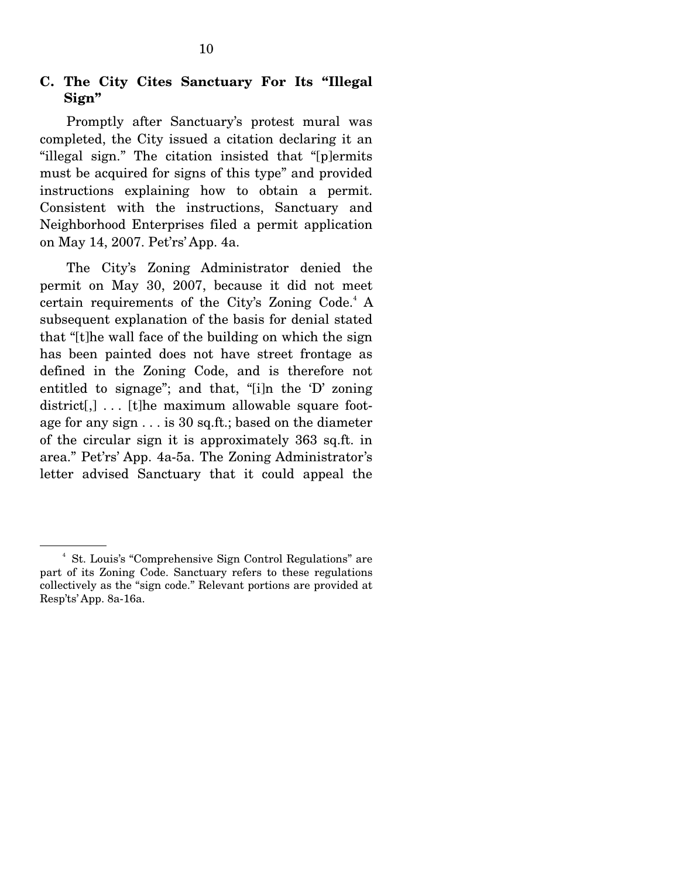### **C. The City Cites Sanctuary For Its "Illegal Sign"**

 Promptly after Sanctuary's protest mural was completed, the City issued a citation declaring it an "illegal sign." The citation insisted that "[p]ermits must be acquired for signs of this type" and provided instructions explaining how to obtain a permit. Consistent with the instructions, Sanctuary and Neighborhood Enterprises filed a permit application on May 14, 2007. Pet'rs' App. 4a.

 The City's Zoning Administrator denied the permit on May 30, 2007, because it did not meet certain requirements of the City's Zoning Code.<sup>4</sup> A subsequent explanation of the basis for denial stated that "[t]he wall face of the building on which the sign has been painted does not have street frontage as defined in the Zoning Code, and is therefore not entitled to signage"; and that, "[i]n the 'D' zoning district[,]... [t]he maximum allowable square footage for any sign . . . is 30 sq.ft.; based on the diameter of the circular sign it is approximately 363 sq.ft. in area." Pet'rs' App. 4a-5a. The Zoning Administrator's letter advised Sanctuary that it could appeal the

<sup>4</sup> St. Louis's "Comprehensive Sign Control Regulations" are part of its Zoning Code. Sanctuary refers to these regulations collectively as the "sign code." Relevant portions are provided at Resp'ts' App. 8a-16a.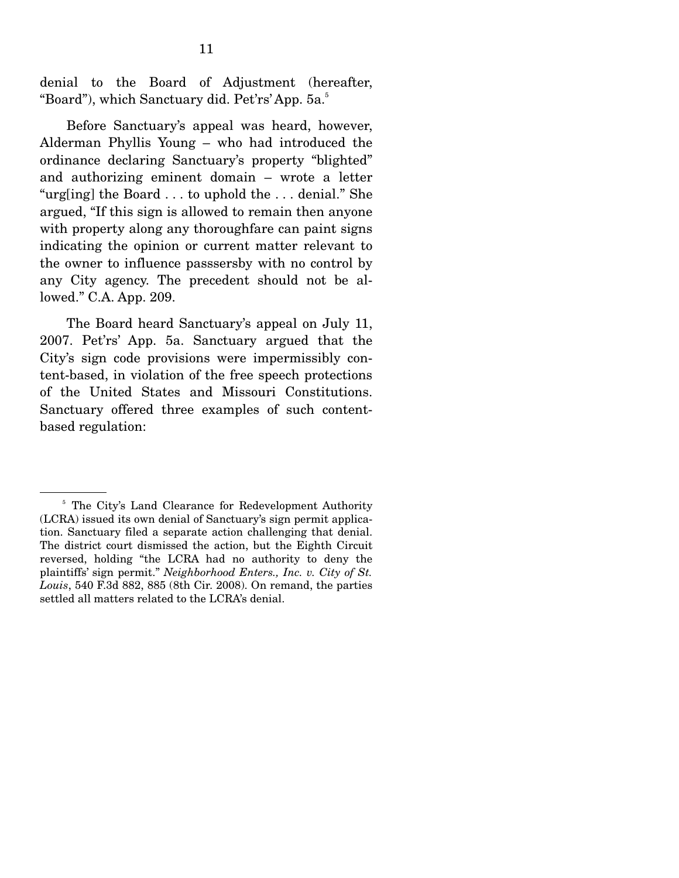denial to the Board of Adjustment (hereafter, "Board"), which Sanctuary did. Pet'rs' App. 5a.<sup>5</sup>

 Before Sanctuary's appeal was heard, however, Alderman Phyllis Young – who had introduced the ordinance declaring Sanctuary's property "blighted" and authorizing eminent domain – wrote a letter "urg[ing] the Board . . . to uphold the . . . denial." She argued, "If this sign is allowed to remain then anyone with property along any thoroughfare can paint signs indicating the opinion or current matter relevant to the owner to influence passsersby with no control by any City agency. The precedent should not be allowed." C.A. App. 209.

 The Board heard Sanctuary's appeal on July 11, 2007. Pet'rs' App. 5a. Sanctuary argued that the City's sign code provisions were impermissibly content-based, in violation of the free speech protections of the United States and Missouri Constitutions. Sanctuary offered three examples of such contentbased regulation:

<sup>&</sup>lt;sup>5</sup> The City's Land Clearance for Redevelopment Authority (LCRA) issued its own denial of Sanctuary's sign permit application. Sanctuary filed a separate action challenging that denial. The district court dismissed the action, but the Eighth Circuit reversed, holding "the LCRA had no authority to deny the plaintiffs' sign permit." *Neighborhood Enters., Inc. v. City of St. Louis*, 540 F.3d 882, 885 (8th Cir. 2008). On remand, the parties settled all matters related to the LCRA's denial.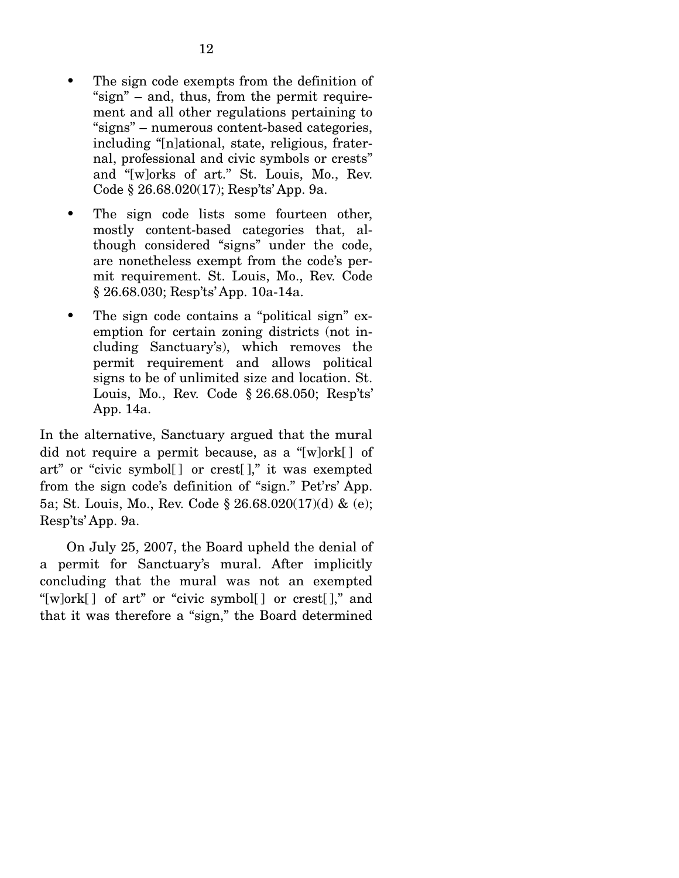- The sign code exempts from the definition of "sign" – and, thus, from the permit requirement and all other regulations pertaining to "signs" – numerous content-based categories, including "[n]ational, state, religious, fraternal, professional and civic symbols or crests" and "[w]orks of art." St. Louis, Mo., Rev. Code § 26.68.020(17); Resp'ts' App. 9a.
- The sign code lists some fourteen other, mostly content-based categories that, although considered "signs" under the code, are nonetheless exempt from the code's permit requirement. St. Louis, Mo., Rev. Code § 26.68.030; Resp'ts' App. 10a-14a.
- The sign code contains a "political sign" exemption for certain zoning districts (not including Sanctuary's), which removes the permit requirement and allows political signs to be of unlimited size and location. St. Louis, Mo., Rev. Code § 26.68.050; Resp'ts' App. 14a.

In the alternative, Sanctuary argued that the mural did not require a permit because, as a "[w]ork[ ] of art" or "civic symbol[ ] or crest[ ]," it was exempted from the sign code's definition of "sign." Pet'rs' App. 5a; St. Louis, Mo., Rev. Code § 26.68.020(17)(d) & (e); Resp'ts' App. 9a.

 On July 25, 2007, the Board upheld the denial of a permit for Sanctuary's mural. After implicitly concluding that the mural was not an exempted "[w]ork[ ] of art" or "civic symbol[ ] or crest[ ]," and that it was therefore a "sign," the Board determined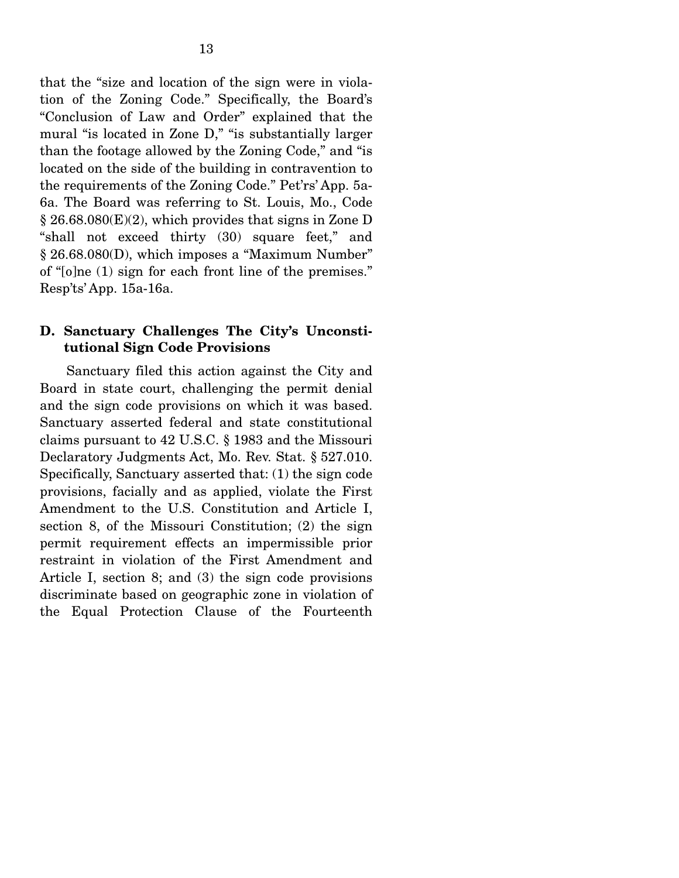that the "size and location of the sign were in violation of the Zoning Code." Specifically, the Board's "Conclusion of Law and Order" explained that the mural "is located in Zone D," "is substantially larger than the footage allowed by the Zoning Code," and "is located on the side of the building in contravention to the requirements of the Zoning Code." Pet'rs' App. 5a-6a. The Board was referring to St. Louis, Mo., Code § 26.68.080(E)(2), which provides that signs in Zone D "shall not exceed thirty (30) square feet," and § 26.68.080(D), which imposes a "Maximum Number" of "[o]ne (1) sign for each front line of the premises." Resp'ts' App. 15a-16a.

### **D. Sanctuary Challenges The City's Unconstitutional Sign Code Provisions**

 Sanctuary filed this action against the City and Board in state court, challenging the permit denial and the sign code provisions on which it was based. Sanctuary asserted federal and state constitutional claims pursuant to 42 U.S.C. § 1983 and the Missouri Declaratory Judgments Act, Mo. Rev. Stat. § 527.010. Specifically, Sanctuary asserted that: (1) the sign code provisions, facially and as applied, violate the First Amendment to the U.S. Constitution and Article I, section 8, of the Missouri Constitution; (2) the sign permit requirement effects an impermissible prior restraint in violation of the First Amendment and Article I, section 8; and (3) the sign code provisions discriminate based on geographic zone in violation of the Equal Protection Clause of the Fourteenth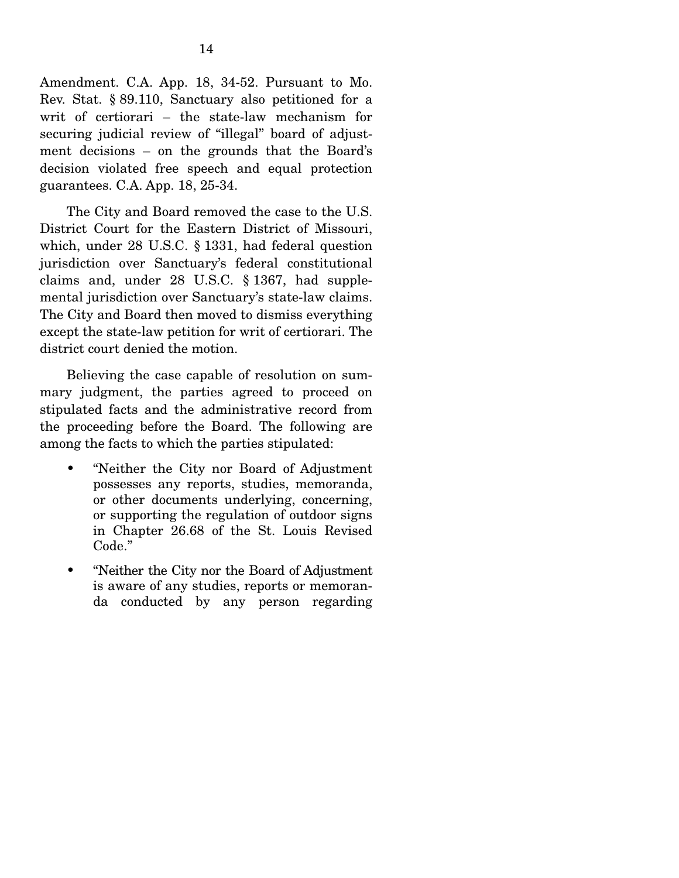Amendment. C.A. App. 18, 34-52. Pursuant to Mo. Rev. Stat. § 89.110, Sanctuary also petitioned for a writ of certiorari – the state-law mechanism for securing judicial review of "illegal" board of adjustment decisions – on the grounds that the Board's decision violated free speech and equal protection guarantees. C.A. App. 18, 25-34.

 The City and Board removed the case to the U.S. District Court for the Eastern District of Missouri, which, under 28 U.S.C. § 1331, had federal question jurisdiction over Sanctuary's federal constitutional claims and, under 28 U.S.C. § 1367, had supplemental jurisdiction over Sanctuary's state-law claims. The City and Board then moved to dismiss everything except the state-law petition for writ of certiorari. The district court denied the motion.

 Believing the case capable of resolution on summary judgment, the parties agreed to proceed on stipulated facts and the administrative record from the proceeding before the Board. The following are among the facts to which the parties stipulated:

- "Neither the City nor Board of Adjustment possesses any reports, studies, memoranda, or other documents underlying, concerning, or supporting the regulation of outdoor signs in Chapter 26.68 of the St. Louis Revised Code."
- "Neither the City nor the Board of Adjustment is aware of any studies, reports or memoranda conducted by any person regarding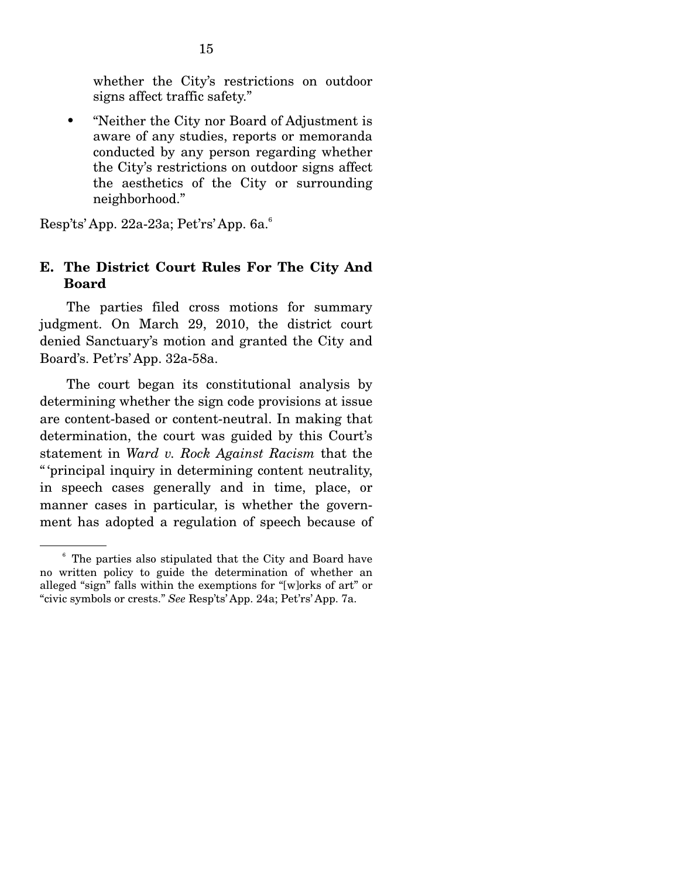whether the City's restrictions on outdoor signs affect traffic safety."

• "Neither the City nor Board of Adjustment is aware of any studies, reports or memoranda conducted by any person regarding whether the City's restrictions on outdoor signs affect the aesthetics of the City or surrounding neighborhood."

Resp'ts' App. 22a-23a; Pet'rs' App. 6a.6

## **E. The District Court Rules For The City And Board**

 The parties filed cross motions for summary judgment. On March 29, 2010, the district court denied Sanctuary's motion and granted the City and Board's. Pet'rs' App. 32a-58a.

 The court began its constitutional analysis by determining whether the sign code provisions at issue are content-based or content-neutral. In making that determination, the court was guided by this Court's statement in *Ward v. Rock Against Racism* that the " 'principal inquiry in determining content neutrality, in speech cases generally and in time, place, or manner cases in particular, is whether the government has adopted a regulation of speech because of

<sup>6</sup> The parties also stipulated that the City and Board have no written policy to guide the determination of whether an alleged "sign" falls within the exemptions for "[w]orks of art" or "civic symbols or crests." *See* Resp'ts' App. 24a; Pet'rs' App. 7a.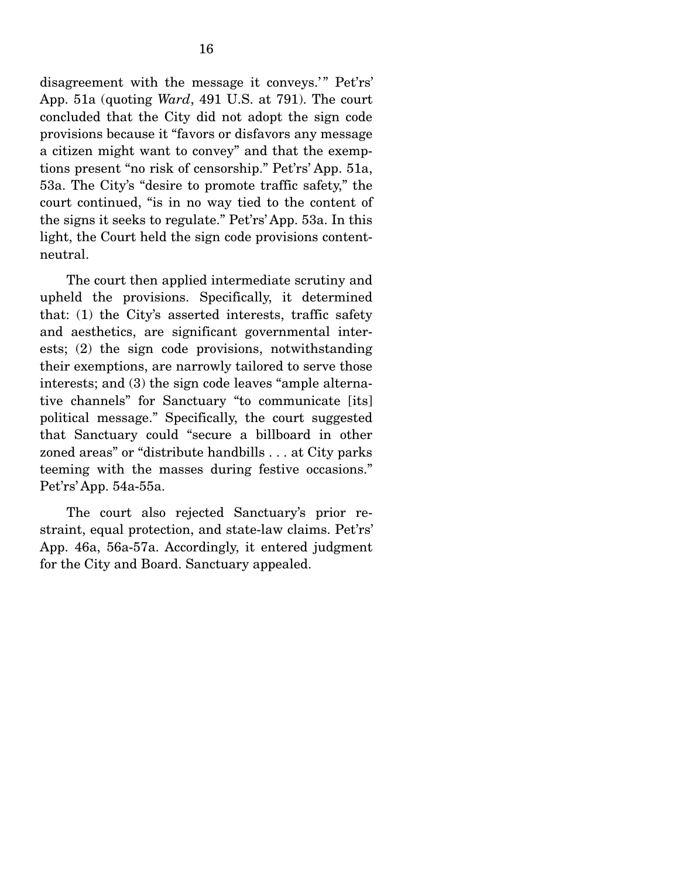disagreement with the message it conveys.'" Pet'rs' App. 51a (quoting *Ward*, 491 U.S. at 791). The court concluded that the City did not adopt the sign code provisions because it "favors or disfavors any message a citizen might want to convey" and that the exemptions present "no risk of censorship." Pet'rs' App. 51a, 53a. The City's "desire to promote traffic safety," the court continued, "is in no way tied to the content of the signs it seeks to regulate." Pet'rs' App. 53a. In this light, the Court held the sign code provisions contentneutral.

 The court then applied intermediate scrutiny and upheld the provisions. Specifically, it determined that: (1) the City's asserted interests, traffic safety and aesthetics, are significant governmental interests; (2) the sign code provisions, notwithstanding their exemptions, are narrowly tailored to serve those interests; and (3) the sign code leaves "ample alternative channels" for Sanctuary "to communicate [its] political message." Specifically, the court suggested that Sanctuary could "secure a billboard in other zoned areas" or "distribute handbills . . . at City parks teeming with the masses during festive occasions." Pet'rs' App. 54a-55a.

 The court also rejected Sanctuary's prior restraint, equal protection, and state-law claims. Pet'rs' App. 46a, 56a-57a. Accordingly, it entered judgment for the City and Board. Sanctuary appealed.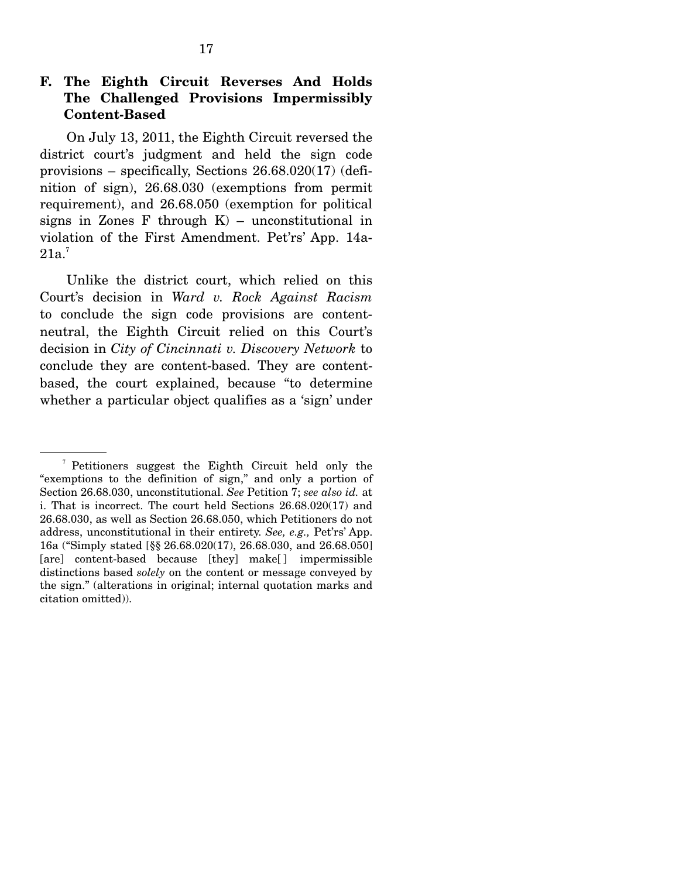On July 13, 2011, the Eighth Circuit reversed the district court's judgment and held the sign code provisions – specifically, Sections 26.68.020(17) (definition of sign), 26.68.030 (exemptions from permit requirement), and 26.68.050 (exemption for political signs in Zones F through  $K$ ) – unconstitutional in violation of the First Amendment. Pet'rs' App. 14a- $21a.7$ 

 Unlike the district court, which relied on this Court's decision in *Ward v. Rock Against Racism* to conclude the sign code provisions are contentneutral, the Eighth Circuit relied on this Court's decision in *City of Cincinnati v. Discovery Network* to conclude they are content-based. They are contentbased, the court explained, because "to determine whether a particular object qualifies as a 'sign' under

<sup>7</sup> Petitioners suggest the Eighth Circuit held only the "exemptions to the definition of sign," and only a portion of Section 26.68.030, unconstitutional. *See* Petition 7; *see also id.* at i. That is incorrect. The court held Sections 26.68.020(17) and 26.68.030, as well as Section 26.68.050, which Petitioners do not address, unconstitutional in their entirety. *See, e.g.,* Pet'rs' App. 16a ("Simply stated [§§ 26.68.020(17), 26.68.030, and 26.68.050] [are] content-based because [they] make[ ] impermissible distinctions based *solely* on the content or message conveyed by the sign." (alterations in original; internal quotation marks and citation omitted)).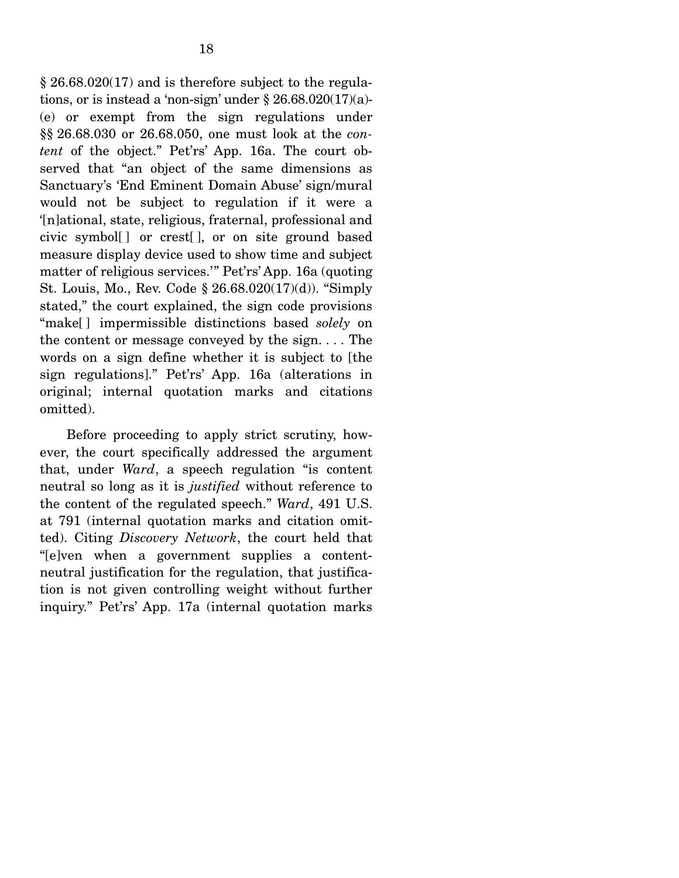$\S 26.68.020(17)$  and is therefore subject to the regulations, or is instead a 'non-sign' under  $\S 26.68.020(17)(a)$ -(e) or exempt from the sign regulations under §§ 26.68.030 or 26.68.050, one must look at the *content* of the object." Pet'rs' App. 16a. The court observed that "an object of the same dimensions as Sanctuary's 'End Eminent Domain Abuse' sign/mural would not be subject to regulation if it were a '[n]ational, state, religious, fraternal, professional and civic symbol[ ] or crest[ ], or on site ground based measure display device used to show time and subject matter of religious services.'" Pet'rs' App. 16a (quoting St. Louis, Mo., Rev. Code § 26.68.020(17)(d)). "Simply stated," the court explained, the sign code provisions "make[ ] impermissible distinctions based *solely* on the content or message conveyed by the sign. . . . The words on a sign define whether it is subject to [the sign regulations]." Pet'rs' App. 16a (alterations in original; internal quotation marks and citations omitted).

 Before proceeding to apply strict scrutiny, however, the court specifically addressed the argument that, under *Ward*, a speech regulation "is content neutral so long as it is *justified* without reference to the content of the regulated speech." *Ward*, 491 U.S. at 791 (internal quotation marks and citation omitted). Citing *Discovery Network*, the court held that "[e]ven when a government supplies a contentneutral justification for the regulation, that justification is not given controlling weight without further inquiry." Pet'rs' App. 17a (internal quotation marks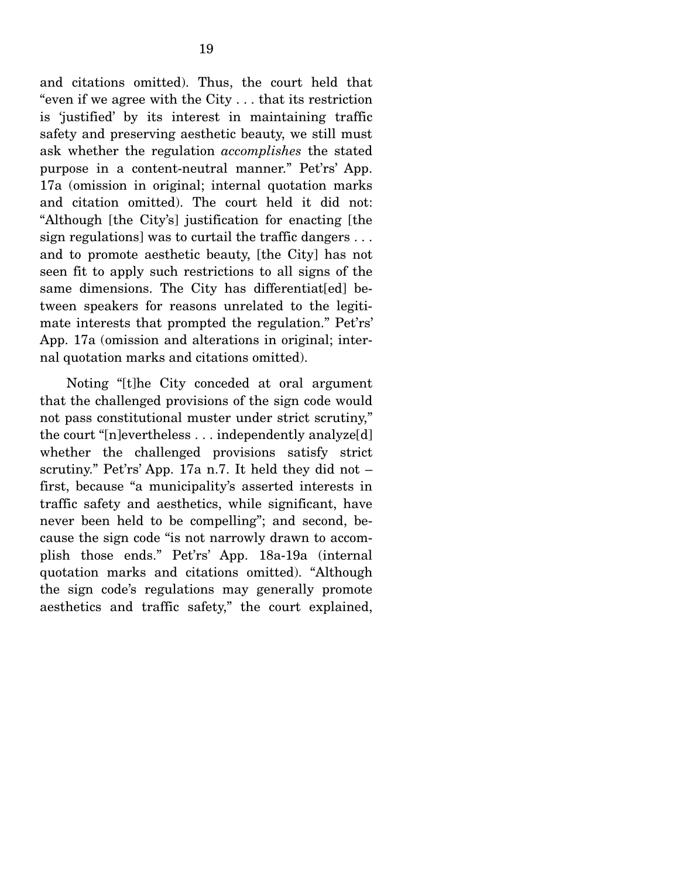and citations omitted). Thus, the court held that "even if we agree with the City . . . that its restriction is 'justified' by its interest in maintaining traffic safety and preserving aesthetic beauty, we still must ask whether the regulation *accomplishes* the stated purpose in a content-neutral manner." Pet'rs' App. 17a (omission in original; internal quotation marks and citation omitted). The court held it did not: "Although [the City's] justification for enacting [the sign regulations] was to curtail the traffic dangers . . . and to promote aesthetic beauty, [the City] has not seen fit to apply such restrictions to all signs of the same dimensions. The City has differentiat[ed] between speakers for reasons unrelated to the legitimate interests that prompted the regulation." Pet'rs' App. 17a (omission and alterations in original; internal quotation marks and citations omitted).

 Noting "[t]he City conceded at oral argument that the challenged provisions of the sign code would not pass constitutional muster under strict scrutiny," the court "[n]evertheless . . . independently analyze[d] whether the challenged provisions satisfy strict scrutiny." Pet'rs' App. 17a n.7. It held they did not – first, because "a municipality's asserted interests in traffic safety and aesthetics, while significant, have never been held to be compelling"; and second, because the sign code "is not narrowly drawn to accomplish those ends." Pet'rs' App. 18a-19a (internal quotation marks and citations omitted). "Although the sign code's regulations may generally promote aesthetics and traffic safety," the court explained,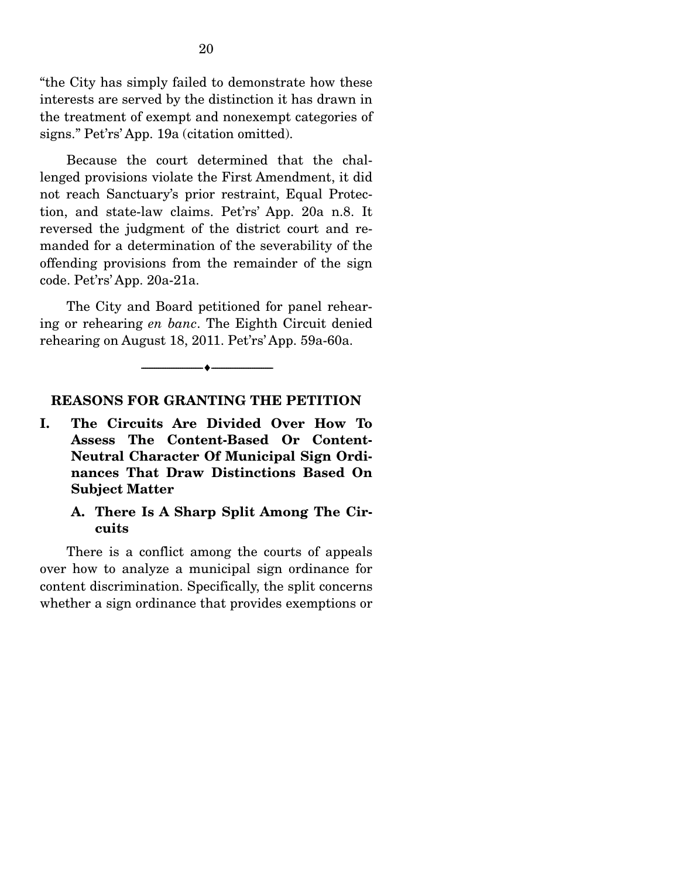"the City has simply failed to demonstrate how these interests are served by the distinction it has drawn in the treatment of exempt and nonexempt categories of signs." Pet'rs' App. 19a (citation omitted).

 Because the court determined that the challenged provisions violate the First Amendment, it did not reach Sanctuary's prior restraint, Equal Protection, and state-law claims. Pet'rs' App. 20a n.8. It reversed the judgment of the district court and remanded for a determination of the severability of the offending provisions from the remainder of the sign code. Pet'rs' App. 20a-21a.

 The City and Board petitioned for panel rehearing or rehearing *en banc*. The Eighth Circuit denied rehearing on August 18, 2011. Pet'rs' App. 59a-60a.

#### --------------------------------- ♦ ---------------------------------

#### **REASONS FOR GRANTING THE PETITION**

**I. The Circuits Are Divided Over How To Assess The Content-Based Or Content-Neutral Character Of Municipal Sign Ordinances That Draw Distinctions Based On Subject Matter** 

### **A. There Is A Sharp Split Among The Circuits**

 There is a conflict among the courts of appeals over how to analyze a municipal sign ordinance for content discrimination. Specifically, the split concerns whether a sign ordinance that provides exemptions or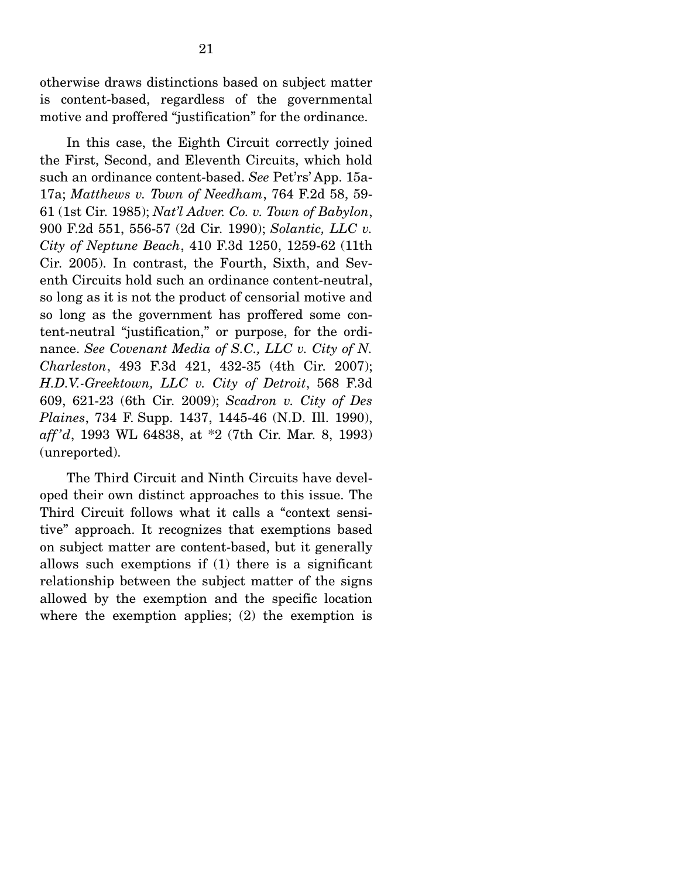otherwise draws distinctions based on subject matter is content-based, regardless of the governmental motive and proffered "justification" for the ordinance.

 In this case, the Eighth Circuit correctly joined the First, Second, and Eleventh Circuits, which hold such an ordinance content-based. *See* Pet'rs' App. 15a-17a; *Matthews v. Town of Needham*, 764 F.2d 58, 59- 61 (1st Cir. 1985); *Nat'l Adver. Co. v. Town of Babylon*, 900 F.2d 551, 556-57 (2d Cir. 1990); *Solantic, LLC v. City of Neptune Beach*, 410 F.3d 1250, 1259-62 (11th Cir. 2005). In contrast, the Fourth, Sixth, and Seventh Circuits hold such an ordinance content-neutral, so long as it is not the product of censorial motive and so long as the government has proffered some content-neutral "justification," or purpose, for the ordinance. *See Covenant Media of S.C., LLC v. City of N. Charleston*, 493 F.3d 421, 432-35 (4th Cir. 2007); *H.D.V.-Greektown, LLC v. City of Detroit*, 568 F.3d 609, 621-23 (6th Cir. 2009); *Scadron v. City of Des Plaines*, 734 F. Supp. 1437, 1445-46 (N.D. Ill. 1990), *aff 'd*, 1993 WL 64838, at \*2 (7th Cir. Mar. 8, 1993) (unreported).

 The Third Circuit and Ninth Circuits have developed their own distinct approaches to this issue. The Third Circuit follows what it calls a "context sensitive" approach. It recognizes that exemptions based on subject matter are content-based, but it generally allows such exemptions if (1) there is a significant relationship between the subject matter of the signs allowed by the exemption and the specific location where the exemption applies; (2) the exemption is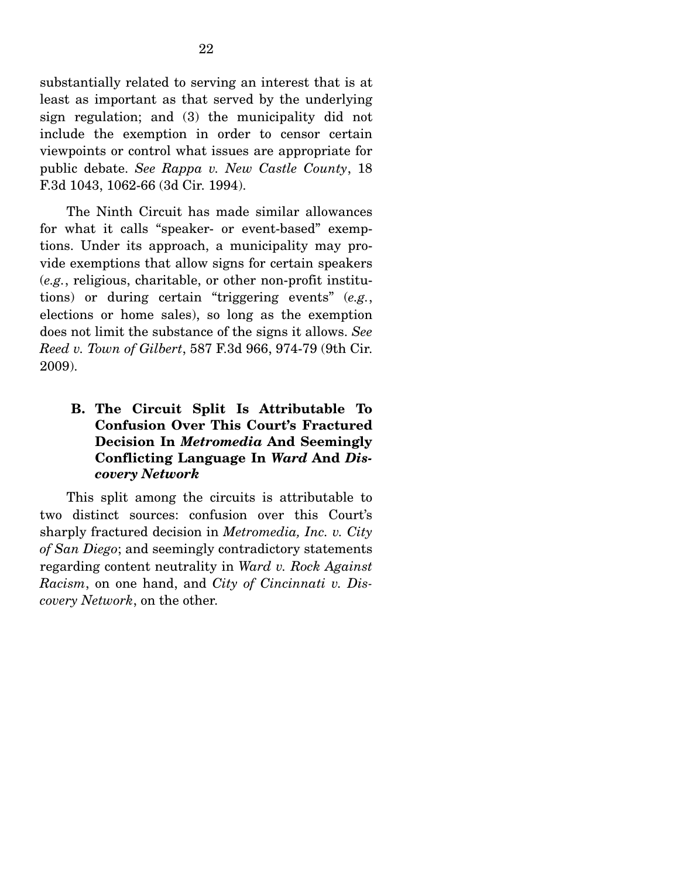substantially related to serving an interest that is at least as important as that served by the underlying sign regulation; and (3) the municipality did not include the exemption in order to censor certain viewpoints or control what issues are appropriate for public debate. *See Rappa v. New Castle County*, 18 F.3d 1043, 1062-66 (3d Cir. 1994).

 The Ninth Circuit has made similar allowances for what it calls "speaker- or event-based" exemptions. Under its approach, a municipality may provide exemptions that allow signs for certain speakers (*e.g.*, religious, charitable, or other non-profit institutions) or during certain "triggering events" (*e.g.*, elections or home sales), so long as the exemption does not limit the substance of the signs it allows. *See Reed v. Town of Gilbert*, 587 F.3d 966, 974-79 (9th Cir. 2009).

## **B. The Circuit Split Is Attributable To Confusion Over This Court's Fractured Decision In** *Metromedia* **And Seemingly Conflicting Language In** *Ward* **And** *Discovery Network*

 This split among the circuits is attributable to two distinct sources: confusion over this Court's sharply fractured decision in *Metromedia, Inc. v. City of San Diego*; and seemingly contradictory statements regarding content neutrality in *Ward v. Rock Against Racism*, on one hand, and *City of Cincinnati v. Discovery Network*, on the other.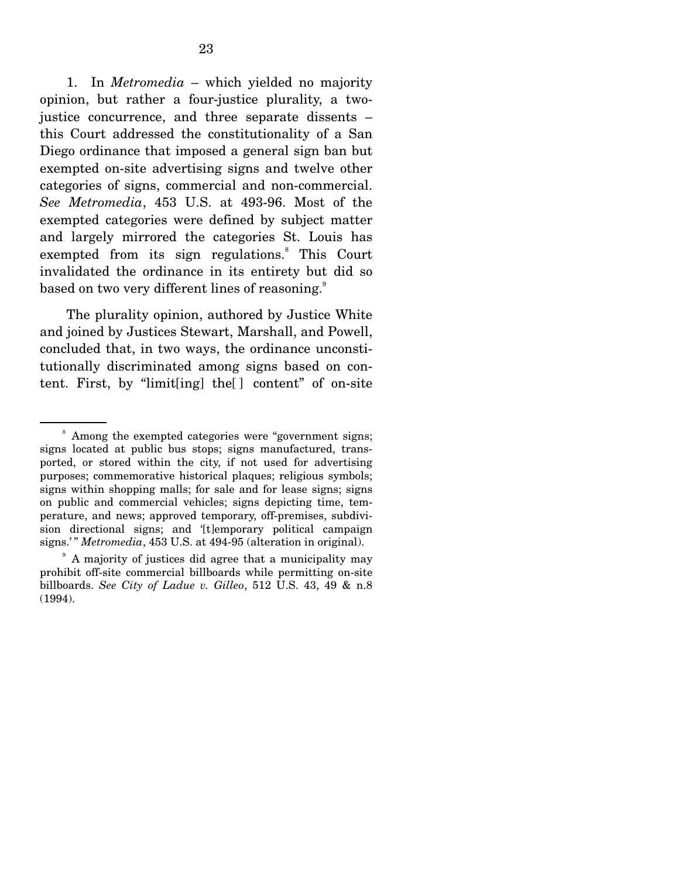1. In *Metromedia* – which yielded no majority opinion, but rather a four-justice plurality, a twojustice concurrence, and three separate dissents – this Court addressed the constitutionality of a San Diego ordinance that imposed a general sign ban but exempted on-site advertising signs and twelve other categories of signs, commercial and non-commercial. *See Metromedia*, 453 U.S. at 493-96. Most of the exempted categories were defined by subject matter and largely mirrored the categories St. Louis has exempted from its sign regulations.<sup>8</sup> This Court invalidated the ordinance in its entirety but did so based on two very different lines of reasoning.<sup>9</sup>

 The plurality opinion, authored by Justice White and joined by Justices Stewart, Marshall, and Powell, concluded that, in two ways, the ordinance unconstitutionally discriminated among signs based on content. First, by "limit[ing] the[ ] content" of on-site

<sup>8</sup> Among the exempted categories were "government signs; signs located at public bus stops; signs manufactured, transported, or stored within the city, if not used for advertising purposes; commemorative historical plaques; religious symbols; signs within shopping malls; for sale and for lease signs; signs on public and commercial vehicles; signs depicting time, temperature, and news; approved temporary, off-premises, subdivision directional signs; and '[t]emporary political campaign signs.'" *Metromedia*, 453 U.S. at 494-95 (alteration in original).

<sup>9</sup> A majority of justices did agree that a municipality may prohibit off-site commercial billboards while permitting on-site billboards. *See City of Ladue v. Gilleo*, 512 U.S. 43, 49 & n.8 (1994).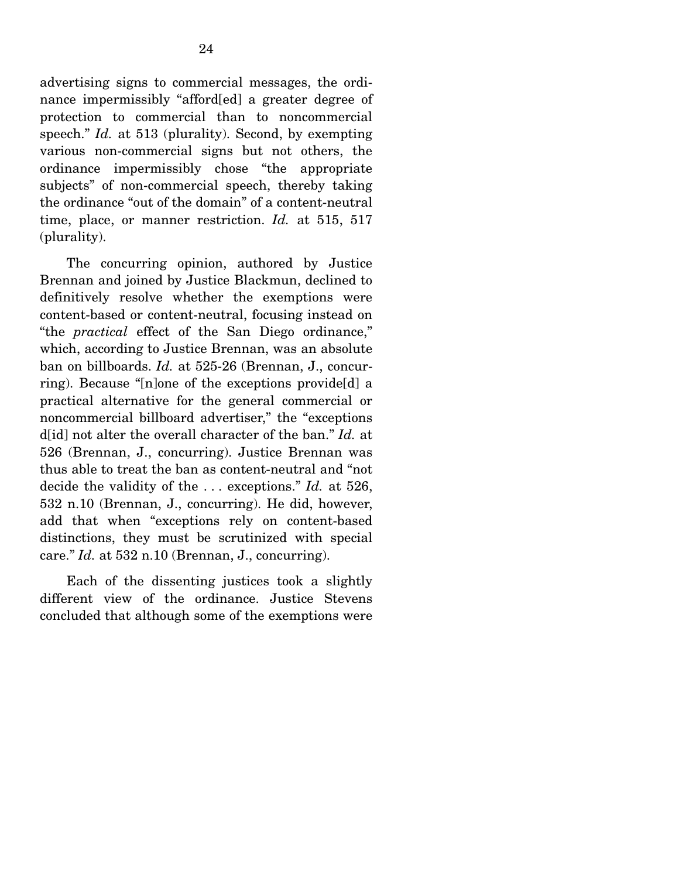advertising signs to commercial messages, the ordinance impermissibly "afford[ed] a greater degree of protection to commercial than to noncommercial speech." *Id.* at 513 (plurality). Second, by exempting various non-commercial signs but not others, the ordinance impermissibly chose "the appropriate subjects" of non-commercial speech, thereby taking the ordinance "out of the domain" of a content-neutral time, place, or manner restriction. *Id.* at 515, 517 (plurality).

 The concurring opinion, authored by Justice Brennan and joined by Justice Blackmun, declined to definitively resolve whether the exemptions were content-based or content-neutral, focusing instead on "the *practical* effect of the San Diego ordinance," which, according to Justice Brennan, was an absolute ban on billboards. *Id.* at 525-26 (Brennan, J., concurring). Because "[n]one of the exceptions provide[d] a practical alternative for the general commercial or noncommercial billboard advertiser," the "exceptions d<sup>[id]</sup> not alter the overall character of the ban." *Id.* at 526 (Brennan, J., concurring). Justice Brennan was thus able to treat the ban as content-neutral and "not decide the validity of the . . . exceptions." *Id.* at 526, 532 n.10 (Brennan, J., concurring). He did, however, add that when "exceptions rely on content-based distinctions, they must be scrutinized with special care." *Id.* at 532 n.10 (Brennan, J., concurring).

 Each of the dissenting justices took a slightly different view of the ordinance. Justice Stevens concluded that although some of the exemptions were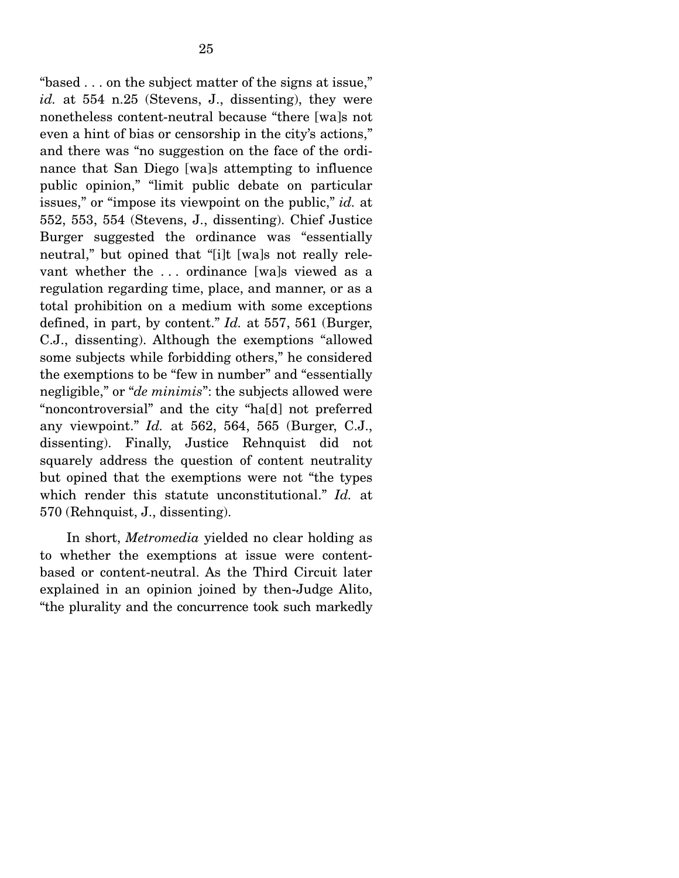"based . . . on the subject matter of the signs at issue," *id.* at 554 n.25 (Stevens, J., dissenting), they were nonetheless content-neutral because "there [wa]s not even a hint of bias or censorship in the city's actions," and there was "no suggestion on the face of the ordinance that San Diego [wa]s attempting to influence public opinion," "limit public debate on particular issues," or "impose its viewpoint on the public," *id.* at 552, 553, 554 (Stevens, J., dissenting). Chief Justice Burger suggested the ordinance was "essentially neutral," but opined that "[i]t [wa]s not really relevant whether the . . . ordinance [wa]s viewed as a regulation regarding time, place, and manner, or as a total prohibition on a medium with some exceptions defined, in part, by content." *Id.* at 557, 561 (Burger, C.J., dissenting). Although the exemptions "allowed some subjects while forbidding others," he considered the exemptions to be "few in number" and "essentially negligible," or "*de minimis*": the subjects allowed were "noncontroversial" and the city "ha[d] not preferred any viewpoint." *Id.* at 562, 564, 565 (Burger, C.J., dissenting). Finally, Justice Rehnquist did not squarely address the question of content neutrality but opined that the exemptions were not "the types which render this statute unconstitutional." *Id.* at 570 (Rehnquist, J., dissenting).

 In short, *Metromedia* yielded no clear holding as to whether the exemptions at issue were contentbased or content-neutral. As the Third Circuit later explained in an opinion joined by then-Judge Alito, "the plurality and the concurrence took such markedly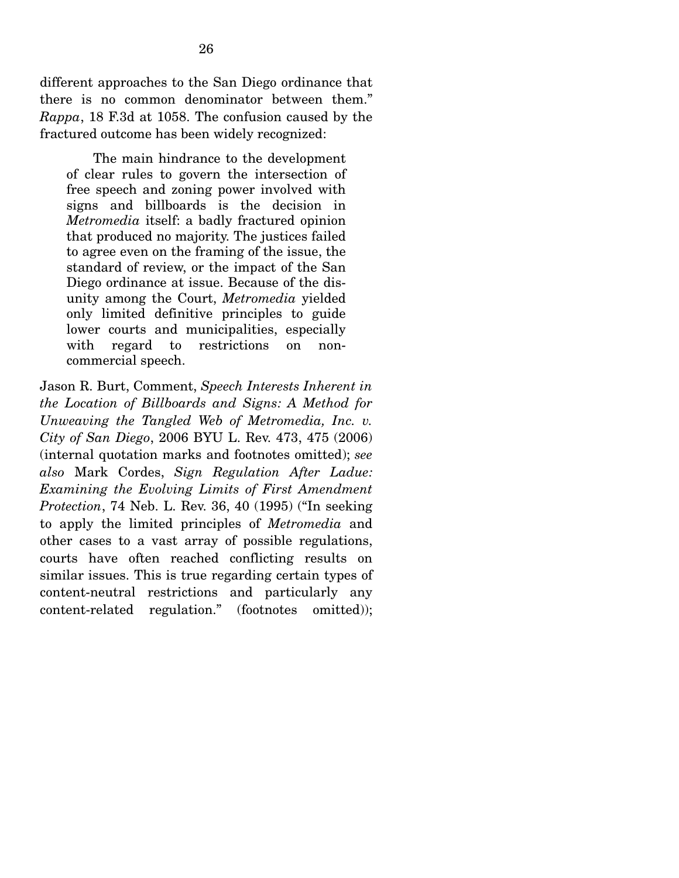different approaches to the San Diego ordinance that there is no common denominator between them." *Rappa*, 18 F.3d at 1058. The confusion caused by the fractured outcome has been widely recognized:

 The main hindrance to the development of clear rules to govern the intersection of free speech and zoning power involved with signs and billboards is the decision in *Metromedia* itself: a badly fractured opinion that produced no majority. The justices failed to agree even on the framing of the issue, the standard of review, or the impact of the San Diego ordinance at issue. Because of the disunity among the Court, *Metromedia* yielded only limited definitive principles to guide lower courts and municipalities, especially with regard to restrictions on noncommercial speech.

Jason R. Burt, Comment, *Speech Interests Inherent in the Location of Billboards and Signs: A Method for Unweaving the Tangled Web of Metromedia, Inc. v. City of San Diego*, 2006 BYU L. Rev. 473, 475 (2006) (internal quotation marks and footnotes omitted); *see also* Mark Cordes, *Sign Regulation After Ladue: Examining the Evolving Limits of First Amendment Protection*, 74 Neb. L. Rev. 36, 40 (1995) ("In seeking to apply the limited principles of *Metromedia* and other cases to a vast array of possible regulations, courts have often reached conflicting results on similar issues. This is true regarding certain types of content-neutral restrictions and particularly any content-related regulation." (footnotes omitted));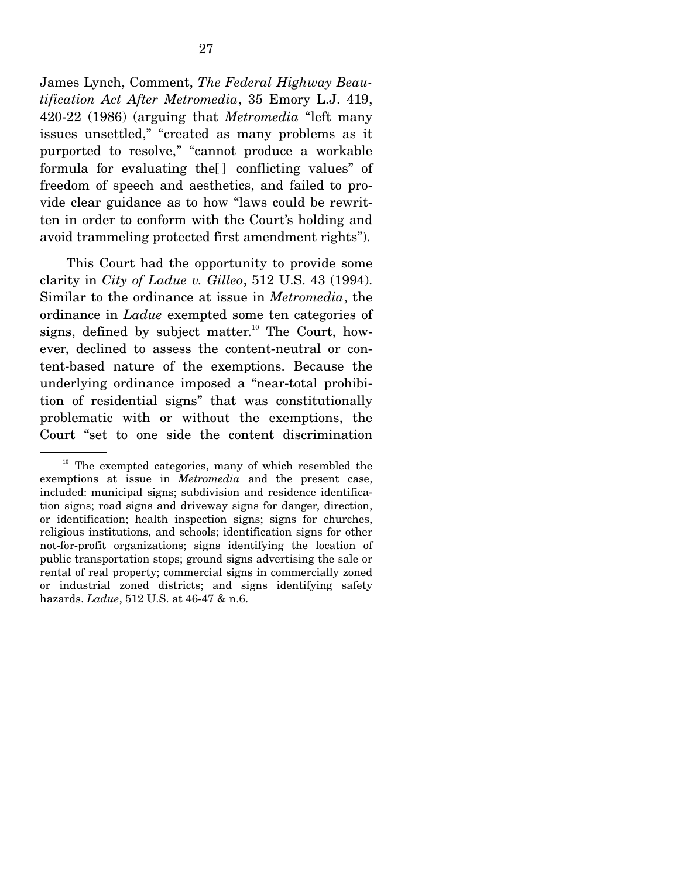James Lynch, Comment, *The Federal Highway Beautification Act After Metromedia*, 35 Emory L.J. 419, 420-22 (1986) (arguing that *Metromedia* "left many issues unsettled," "created as many problems as it purported to resolve," "cannot produce a workable formula for evaluating the[ ] conflicting values" of freedom of speech and aesthetics, and failed to provide clear guidance as to how "laws could be rewritten in order to conform with the Court's holding and avoid trammeling protected first amendment rights").

 This Court had the opportunity to provide some clarity in *City of Ladue v. Gilleo*, 512 U.S. 43 (1994). Similar to the ordinance at issue in *Metromedia*, the ordinance in *Ladue* exempted some ten categories of signs, defined by subject matter.<sup>10</sup> The Court, however, declined to assess the content-neutral or content-based nature of the exemptions. Because the underlying ordinance imposed a "near-total prohibition of residential signs" that was constitutionally problematic with or without the exemptions, the Court "set to one side the content discrimination

 $10$  The exempted categories, many of which resembled the exemptions at issue in *Metromedia* and the present case, included: municipal signs; subdivision and residence identification signs; road signs and driveway signs for danger, direction, or identification; health inspection signs; signs for churches, religious institutions, and schools; identification signs for other not-for-profit organizations; signs identifying the location of public transportation stops; ground signs advertising the sale or rental of real property; commercial signs in commercially zoned or industrial zoned districts; and signs identifying safety hazards. *Ladue*, 512 U.S. at 46-47 & n.6.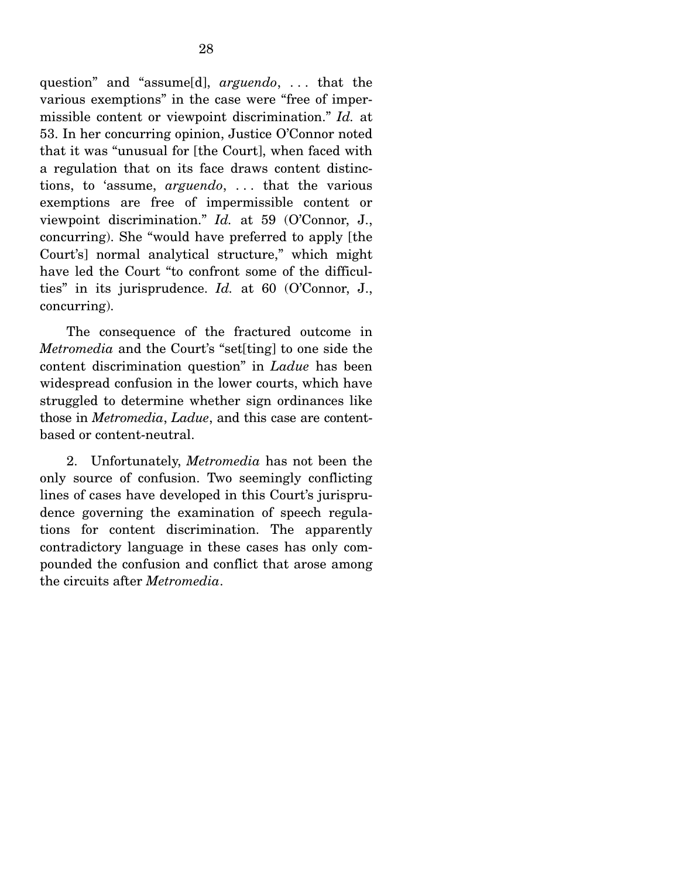question" and "assume[d], *arguendo*, . . . that the various exemptions" in the case were "free of impermissible content or viewpoint discrimination." *Id.* at 53. In her concurring opinion, Justice O'Connor noted that it was "unusual for [the Court], when faced with a regulation that on its face draws content distinctions, to 'assume, *arguendo*, . . . that the various exemptions are free of impermissible content or viewpoint discrimination." *Id.* at 59 (O'Connor, J., concurring). She "would have preferred to apply [the Court's] normal analytical structure," which might have led the Court "to confront some of the difficulties" in its jurisprudence. *Id.* at 60 (O'Connor, J., concurring).

 The consequence of the fractured outcome in *Metromedia* and the Court's "set[ting] to one side the content discrimination question" in *Ladue* has been widespread confusion in the lower courts, which have struggled to determine whether sign ordinances like those in *Metromedia*, *Ladue*, and this case are contentbased or content-neutral.

 2. Unfortunately, *Metromedia* has not been the only source of confusion. Two seemingly conflicting lines of cases have developed in this Court's jurisprudence governing the examination of speech regulations for content discrimination. The apparently contradictory language in these cases has only compounded the confusion and conflict that arose among the circuits after *Metromedia*.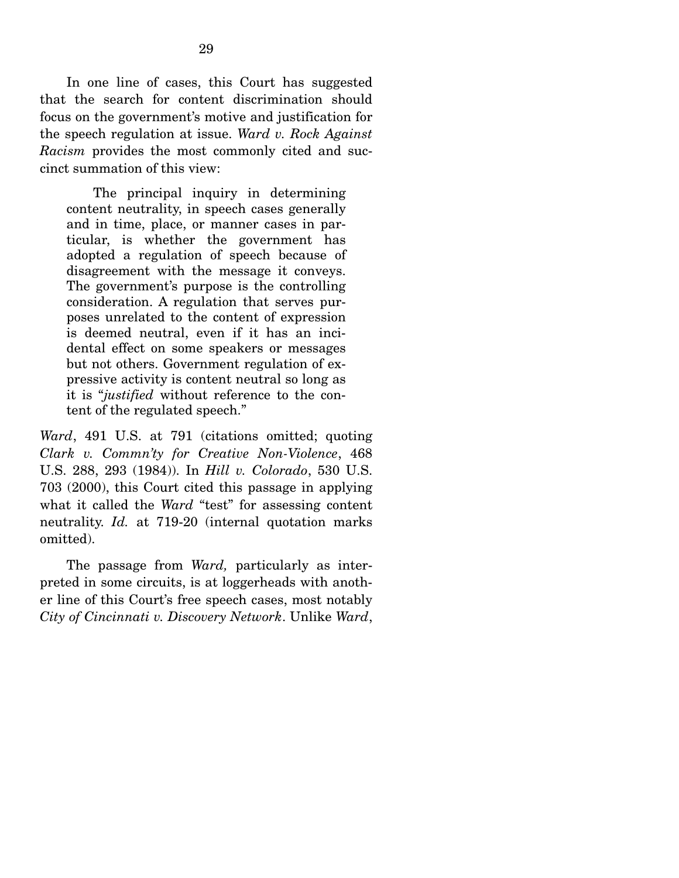In one line of cases, this Court has suggested that the search for content discrimination should focus on the government's motive and justification for the speech regulation at issue. *Ward v. Rock Against Racism* provides the most commonly cited and succinct summation of this view:

 The principal inquiry in determining content neutrality, in speech cases generally and in time, place, or manner cases in particular, is whether the government has adopted a regulation of speech because of disagreement with the message it conveys. The government's purpose is the controlling consideration. A regulation that serves purposes unrelated to the content of expression is deemed neutral, even if it has an incidental effect on some speakers or messages but not others. Government regulation of expressive activity is content neutral so long as it is "*justified* without reference to the content of the regulated speech."

*Ward*, 491 U.S. at 791 (citations omitted; quoting *Clark v. Commn'ty for Creative Non-Violence*, 468 U.S. 288, 293 (1984)). In *Hill v. Colorado*, 530 U.S. 703 (2000), this Court cited this passage in applying what it called the *Ward* "test" for assessing content neutrality. *Id.* at 719-20 (internal quotation marks omitted).

 The passage from *Ward,* particularly as interpreted in some circuits, is at loggerheads with another line of this Court's free speech cases, most notably *City of Cincinnati v. Discovery Network*. Unlike *Ward*,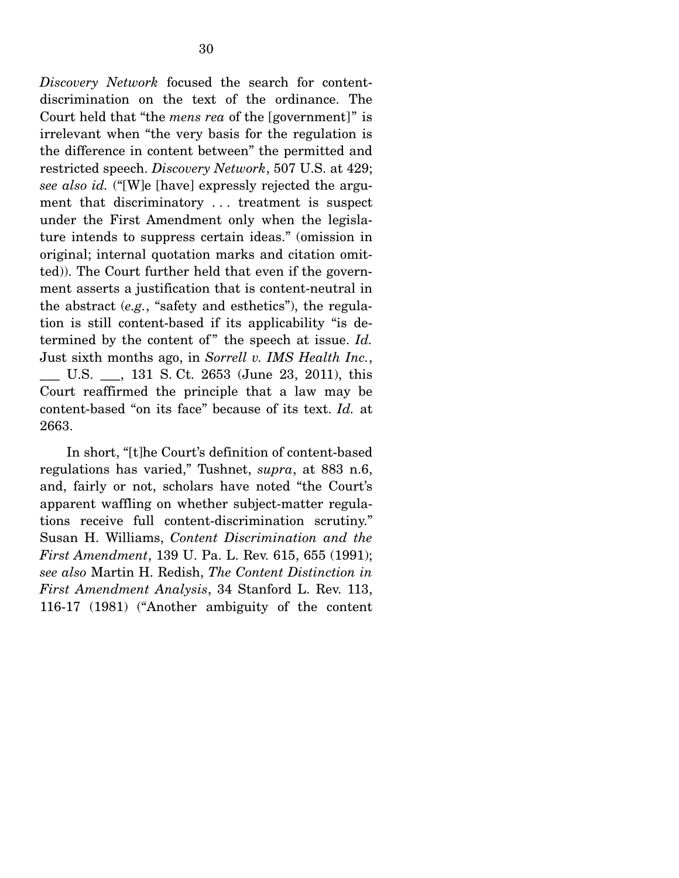*Discovery Network* focused the search for contentdiscrimination on the text of the ordinance. The Court held that "the *mens rea* of the [government]" is irrelevant when "the very basis for the regulation is the difference in content between" the permitted and restricted speech. *Discovery Network*, 507 U.S. at 429; *see also id.* ("[W]e [have] expressly rejected the argument that discriminatory . . . treatment is suspect under the First Amendment only when the legislature intends to suppress certain ideas." (omission in original; internal quotation marks and citation omitted)). The Court further held that even if the government asserts a justification that is content-neutral in the abstract (*e.g.*, "safety and esthetics"), the regulation is still content-based if its applicability "is determined by the content of" the speech at issue. *Id.* Just sixth months ago, in *Sorrell v. IMS Health Inc.*, U.S.  $\qquad$ , 131 S. Ct. 2653 (June 23, 2011), this Court reaffirmed the principle that a law may be content-based "on its face" because of its text. *Id.* at 2663.

 In short, "[t]he Court's definition of content-based regulations has varied," Tushnet, *supra*, at 883 n.6, and, fairly or not, scholars have noted "the Court's apparent waffling on whether subject-matter regulations receive full content-discrimination scrutiny." Susan H. Williams, *Content Discrimination and the First Amendment*, 139 U. Pa. L. Rev. 615, 655 (1991); *see also* Martin H. Redish, *The Content Distinction in First Amendment Analysis*, 34 Stanford L. Rev. 113, 116-17 (1981) ("Another ambiguity of the content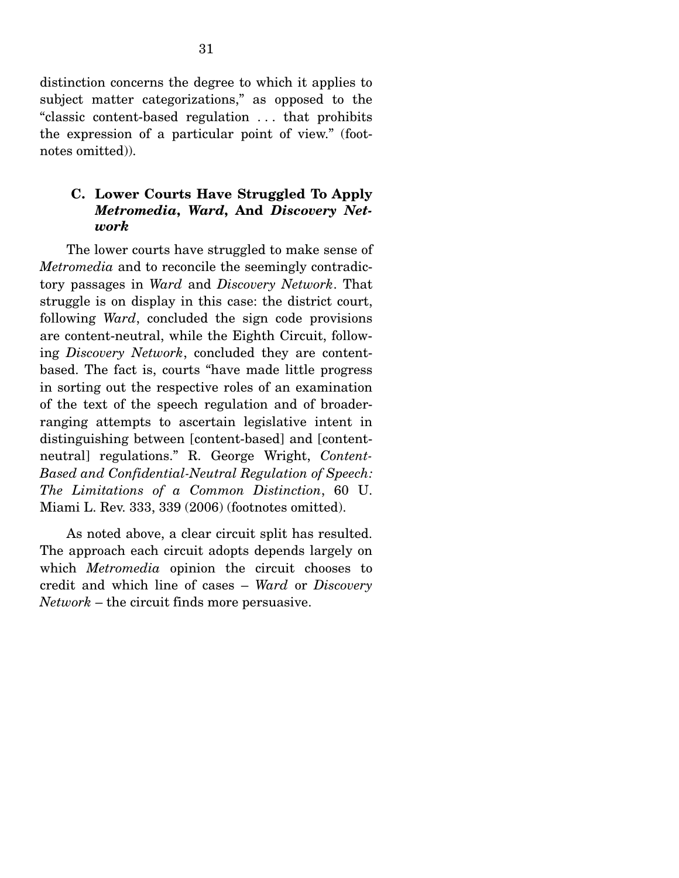distinction concerns the degree to which it applies to subject matter categorizations," as opposed to the "classic content-based regulation . . . that prohibits the expression of a particular point of view." (footnotes omitted)).

### **C. Lower Courts Have Struggled To Apply**  *Metromedia***,** *Ward***, And** *Discovery Network*

 The lower courts have struggled to make sense of *Metromedia* and to reconcile the seemingly contradictory passages in *Ward* and *Discovery Network*. That struggle is on display in this case: the district court, following *Ward*, concluded the sign code provisions are content-neutral, while the Eighth Circuit, following *Discovery Network*, concluded they are contentbased. The fact is, courts "have made little progress in sorting out the respective roles of an examination of the text of the speech regulation and of broaderranging attempts to ascertain legislative intent in distinguishing between [content-based] and [contentneutral] regulations." R. George Wright, *Content-Based and Confidential-Neutral Regulation of Speech: The Limitations of a Common Distinction*, 60 U. Miami L. Rev. 333, 339 (2006) (footnotes omitted).

 As noted above, a clear circuit split has resulted. The approach each circuit adopts depends largely on which *Metromedia* opinion the circuit chooses to credit and which line of cases – *Ward* or *Discovery Network* – the circuit finds more persuasive.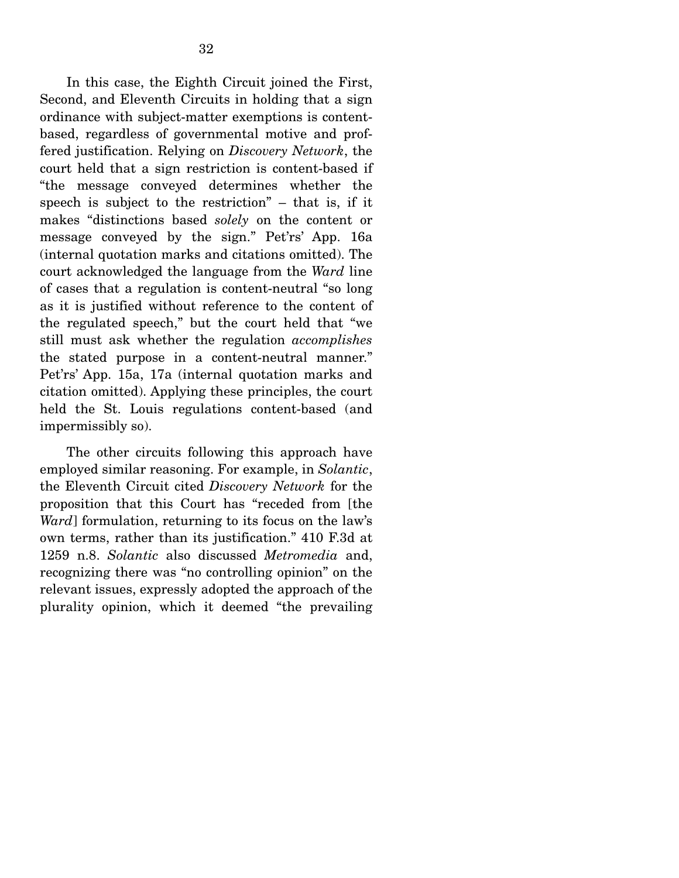In this case, the Eighth Circuit joined the First, Second, and Eleventh Circuits in holding that a sign ordinance with subject-matter exemptions is contentbased, regardless of governmental motive and proffered justification. Relying on *Discovery Network*, the court held that a sign restriction is content-based if "the message conveyed determines whether the speech is subject to the restriction" – that is, if it makes "distinctions based *solely* on the content or message conveyed by the sign." Pet'rs' App. 16a (internal quotation marks and citations omitted). The court acknowledged the language from the *Ward* line of cases that a regulation is content-neutral "so long as it is justified without reference to the content of the regulated speech," but the court held that "we still must ask whether the regulation *accomplishes* the stated purpose in a content-neutral manner." Pet'rs' App. 15a, 17a (internal quotation marks and citation omitted). Applying these principles, the court held the St. Louis regulations content-based (and impermissibly so).

 The other circuits following this approach have employed similar reasoning. For example, in *Solantic*, the Eleventh Circuit cited *Discovery Network* for the proposition that this Court has "receded from [the *Ward*] formulation, returning to its focus on the law's own terms, rather than its justification." 410 F.3d at 1259 n.8. *Solantic* also discussed *Metromedia* and, recognizing there was "no controlling opinion" on the relevant issues, expressly adopted the approach of the plurality opinion, which it deemed "the prevailing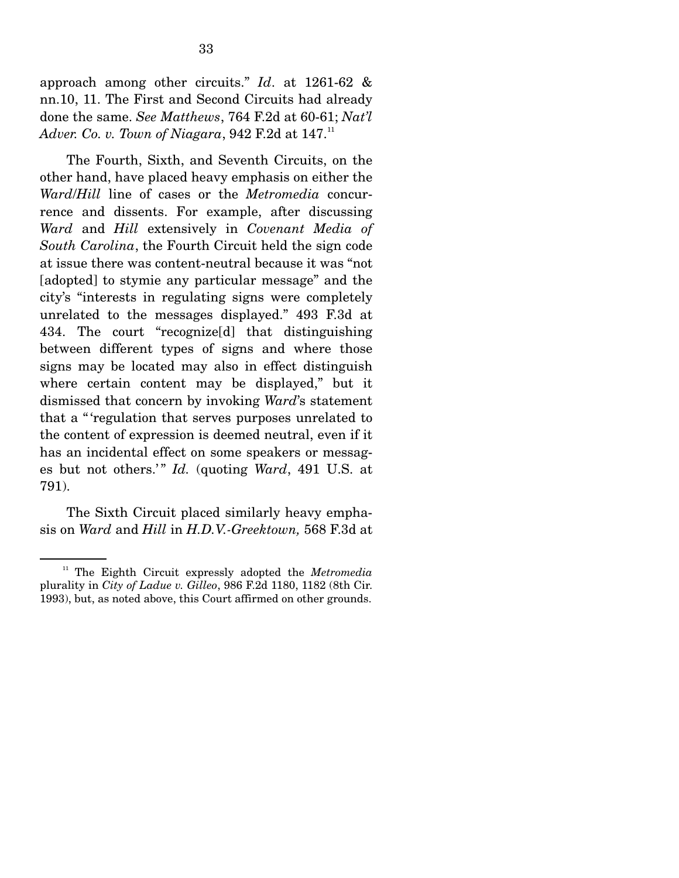approach among other circuits." *Id*. at 1261-62 & nn.10, 11. The First and Second Circuits had already done the same. *See Matthews*, 764 F.2d at 60-61; *Nat'l Adver. Co. v. Town of Niagara*, 942 F.2d at 147.<sup>11</sup>

 The Fourth, Sixth, and Seventh Circuits, on the other hand, have placed heavy emphasis on either the *Ward*/*Hill* line of cases or the *Metromedia* concurrence and dissents. For example, after discussing *Ward* and *Hill* extensively in *Covenant Media of South Carolina*, the Fourth Circuit held the sign code at issue there was content-neutral because it was "not [adopted] to stymie any particular message" and the city's "interests in regulating signs were completely unrelated to the messages displayed." 493 F.3d at 434. The court "recognize[d] that distinguishing between different types of signs and where those signs may be located may also in effect distinguish where certain content may be displayed," but it dismissed that concern by invoking *Ward*'s statement that a " 'regulation that serves purposes unrelated to the content of expression is deemed neutral, even if it has an incidental effect on some speakers or messages but not others.'" *Id.* (quoting *Ward*, 491 U.S. at 791).

 The Sixth Circuit placed similarly heavy emphasis on *Ward* and *Hill* in *H.D.V.-Greektown,* 568 F.3d at

<sup>&</sup>lt;sup>11</sup> The Eighth Circuit expressly adopted the *Metromedia* plurality in *City of Ladue v. Gilleo*, 986 F.2d 1180, 1182 (8th Cir. 1993), but, as noted above, this Court affirmed on other grounds.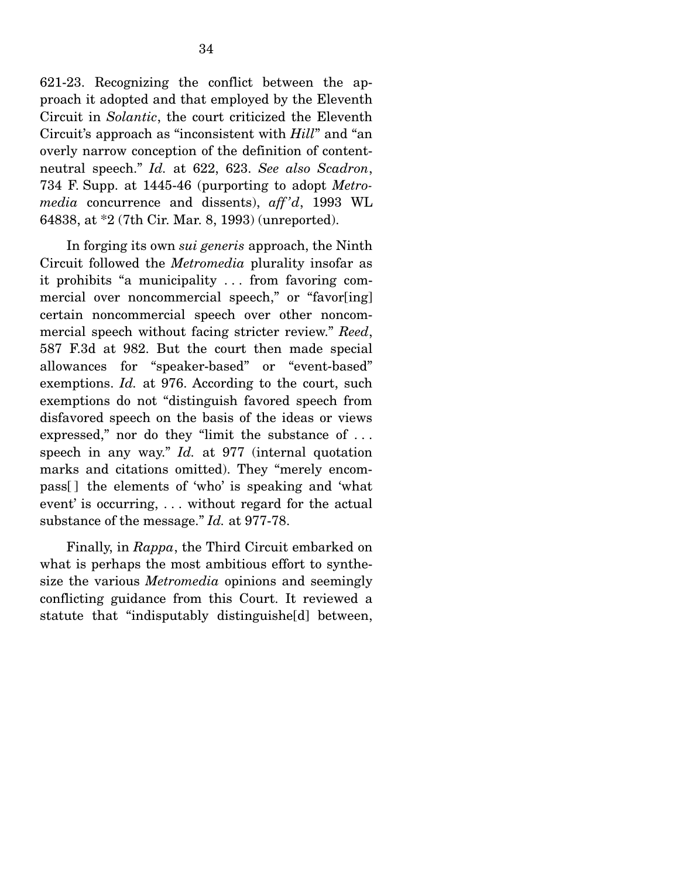621-23. Recognizing the conflict between the approach it adopted and that employed by the Eleventh Circuit in *Solantic*, the court criticized the Eleventh Circuit's approach as "inconsistent with *Hill*" and "an overly narrow conception of the definition of contentneutral speech." *Id.* at 622, 623. *See also Scadron*, 734 F. Supp. at 1445-46 (purporting to adopt *Metromedia* concurrence and dissents), *aff 'd*, 1993 WL 64838, at \*2 (7th Cir. Mar. 8, 1993) (unreported).

 In forging its own *sui generis* approach, the Ninth Circuit followed the *Metromedia* plurality insofar as it prohibits "a municipality . . . from favoring commercial over noncommercial speech," or "favor[ing] certain noncommercial speech over other noncommercial speech without facing stricter review." *Reed*, 587 F.3d at 982. But the court then made special allowances for "speaker-based" or "event-based" exemptions. *Id.* at 976. According to the court, such exemptions do not "distinguish favored speech from disfavored speech on the basis of the ideas or views expressed," nor do they "limit the substance of ... speech in any way." *Id.* at 977 (internal quotation marks and citations omitted). They "merely encompass[ ] the elements of 'who' is speaking and 'what event' is occurring, . . . without regard for the actual substance of the message." *Id.* at 977-78.

 Finally, in *Rappa*, the Third Circuit embarked on what is perhaps the most ambitious effort to synthesize the various *Metromedia* opinions and seemingly conflicting guidance from this Court. It reviewed a statute that "indisputably distinguishe[d] between,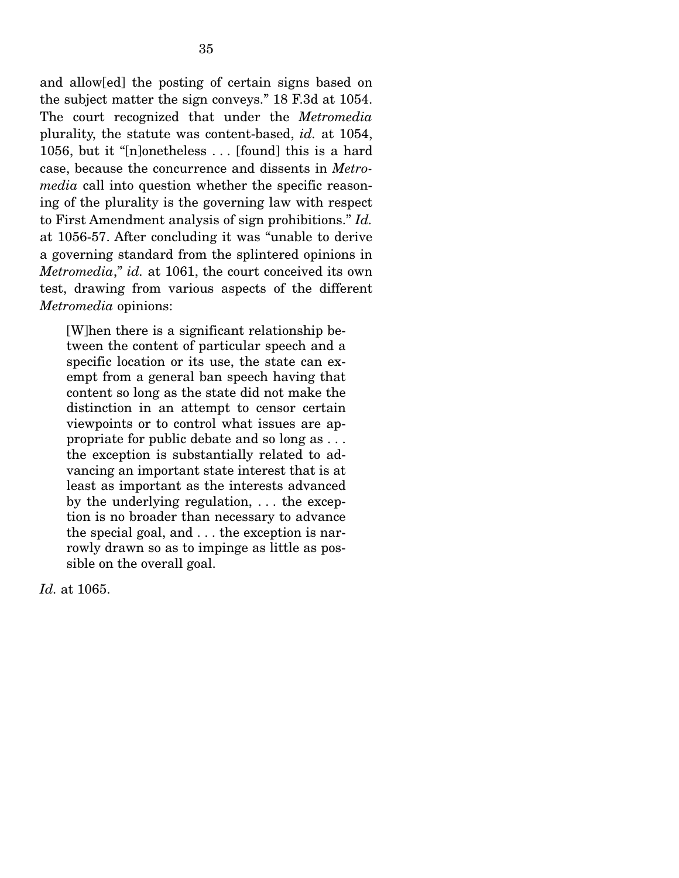and allow[ed] the posting of certain signs based on the subject matter the sign conveys." 18 F.3d at 1054. The court recognized that under the *Metromedia* plurality, the statute was content-based, *id.* at 1054, 1056, but it "[n]onetheless . . . [found] this is a hard case, because the concurrence and dissents in *Metromedia* call into question whether the specific reasoning of the plurality is the governing law with respect to First Amendment analysis of sign prohibitions." *Id.* at 1056-57. After concluding it was "unable to derive a governing standard from the splintered opinions in *Metromedia*," *id.* at 1061, the court conceived its own test, drawing from various aspects of the different *Metromedia* opinions:

[W]hen there is a significant relationship between the content of particular speech and a specific location or its use, the state can exempt from a general ban speech having that content so long as the state did not make the distinction in an attempt to censor certain viewpoints or to control what issues are appropriate for public debate and so long as . . . the exception is substantially related to advancing an important state interest that is at least as important as the interests advanced by the underlying regulation, . . . the exception is no broader than necessary to advance the special goal, and . . . the exception is narrowly drawn so as to impinge as little as possible on the overall goal.

*Id.* at 1065.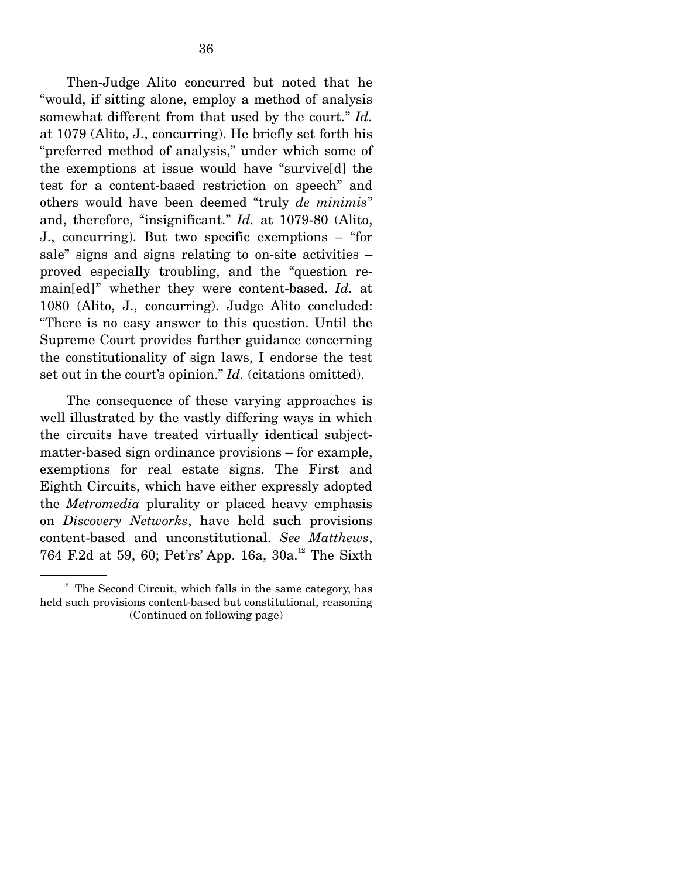Then-Judge Alito concurred but noted that he "would, if sitting alone, employ a method of analysis somewhat different from that used by the court." *Id.*  at 1079 (Alito, J., concurring). He briefly set forth his "preferred method of analysis," under which some of the exemptions at issue would have "survive[d] the test for a content-based restriction on speech" and others would have been deemed "truly *de minimis*" and, therefore, "insignificant." *Id.* at 1079-80 (Alito, J., concurring). But two specific exemptions – "for sale" signs and signs relating to on-site activities – proved especially troubling, and the "question remain[ed]" whether they were content-based. *Id.* at 1080 (Alito, J., concurring). Judge Alito concluded: "There is no easy answer to this question. Until the Supreme Court provides further guidance concerning the constitutionality of sign laws, I endorse the test set out in the court's opinion." *Id.* (citations omitted).

 The consequence of these varying approaches is well illustrated by the vastly differing ways in which the circuits have treated virtually identical subjectmatter-based sign ordinance provisions – for example, exemptions for real estate signs. The First and Eighth Circuits, which have either expressly adopted the *Metromedia* plurality or placed heavy emphasis on *Discovery Networks*, have held such provisions content-based and unconstitutional. *See Matthews*, 764 F.2d at 59, 60; Pet'rs' App. 16a, 30a.<sup>12</sup> The Sixth

 $12$  The Second Circuit, which falls in the same category, has held such provisions content-based but constitutional, reasoning (Continued on following page)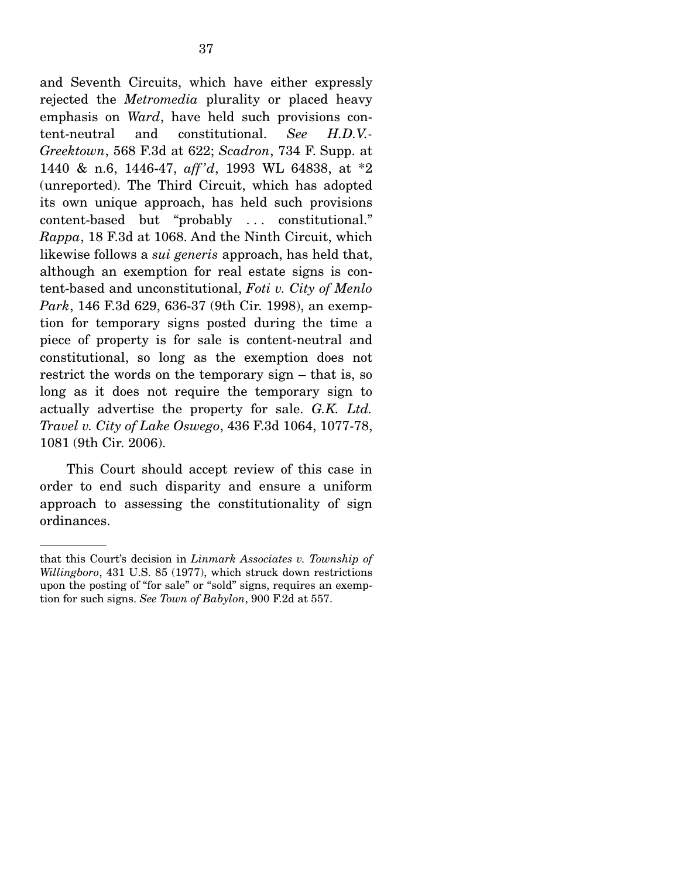and Seventh Circuits, which have either expressly rejected the *Metromedia* plurality or placed heavy emphasis on *Ward*, have held such provisions content-neutral and constitutional. *See H.D.V.- Greektown*, 568 F.3d at 622; *Scadron*, 734 F. Supp. at 1440 & n.6, 1446-47, *aff 'd*, 1993 WL 64838, at \*2 (unreported). The Third Circuit, which has adopted its own unique approach, has held such provisions content-based but "probably ... constitutional." *Rappa*, 18 F.3d at 1068. And the Ninth Circuit, which likewise follows a *sui generis* approach, has held that, although an exemption for real estate signs is content-based and unconstitutional, *Foti v. City of Menlo Park*, 146 F.3d 629, 636-37 (9th Cir. 1998), an exemption for temporary signs posted during the time a piece of property is for sale is content-neutral and constitutional, so long as the exemption does not restrict the words on the temporary sign – that is, so long as it does not require the temporary sign to actually advertise the property for sale. *G.K. Ltd. Travel v. City of Lake Oswego*, 436 F.3d 1064, 1077-78, 1081 (9th Cir. 2006).

 This Court should accept review of this case in order to end such disparity and ensure a uniform approach to assessing the constitutionality of sign ordinances.

that this Court's decision in *Linmark Associates v. Township of Willingboro*, 431 U.S. 85 (1977), which struck down restrictions upon the posting of "for sale" or "sold" signs, requires an exemption for such signs. *See Town of Babylon*, 900 F.2d at 557.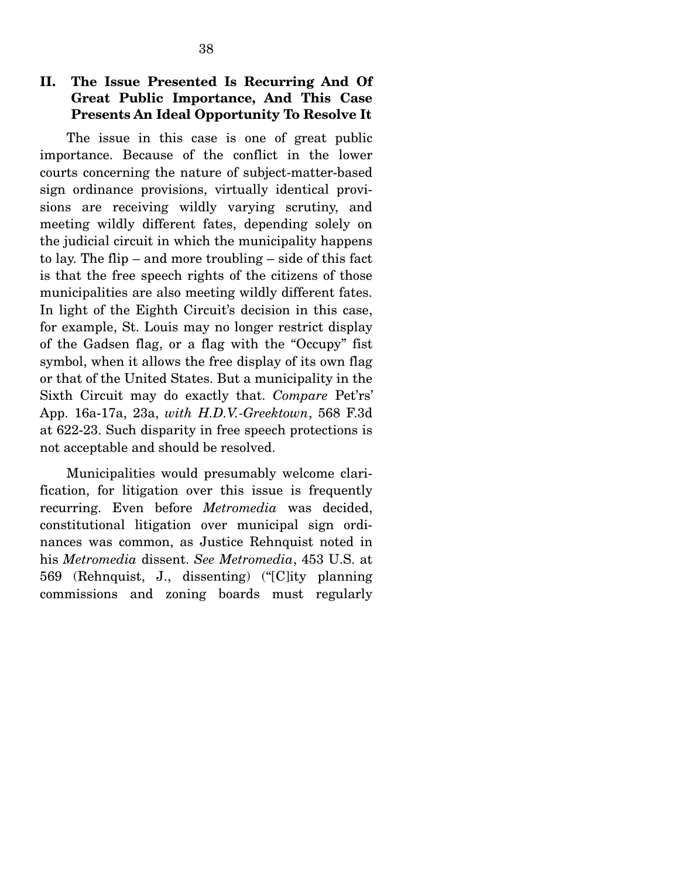## **II. The Issue Presented Is Recurring And Of Great Public Importance, And This Case Presents An Ideal Opportunity To Resolve It**

 The issue in this case is one of great public importance. Because of the conflict in the lower courts concerning the nature of subject-matter-based sign ordinance provisions, virtually identical provisions are receiving wildly varying scrutiny, and meeting wildly different fates, depending solely on the judicial circuit in which the municipality happens to lay. The flip – and more troubling – side of this fact is that the free speech rights of the citizens of those municipalities are also meeting wildly different fates. In light of the Eighth Circuit's decision in this case, for example, St. Louis may no longer restrict display of the Gadsen flag, or a flag with the "Occupy" fist symbol, when it allows the free display of its own flag or that of the United States. But a municipality in the Sixth Circuit may do exactly that. *Compare* Pet'rs' App. 16a-17a, 23a, *with H.D.V.-Greektown*, 568 F.3d at 622-23. Such disparity in free speech protections is not acceptable and should be resolved.

 Municipalities would presumably welcome clarification, for litigation over this issue is frequently recurring. Even before *Metromedia* was decided, constitutional litigation over municipal sign ordinances was common, as Justice Rehnquist noted in his *Metromedia* dissent. *See Metromedia*, 453 U.S. at 569 (Rehnquist, J., dissenting) ("[C]ity planning commissions and zoning boards must regularly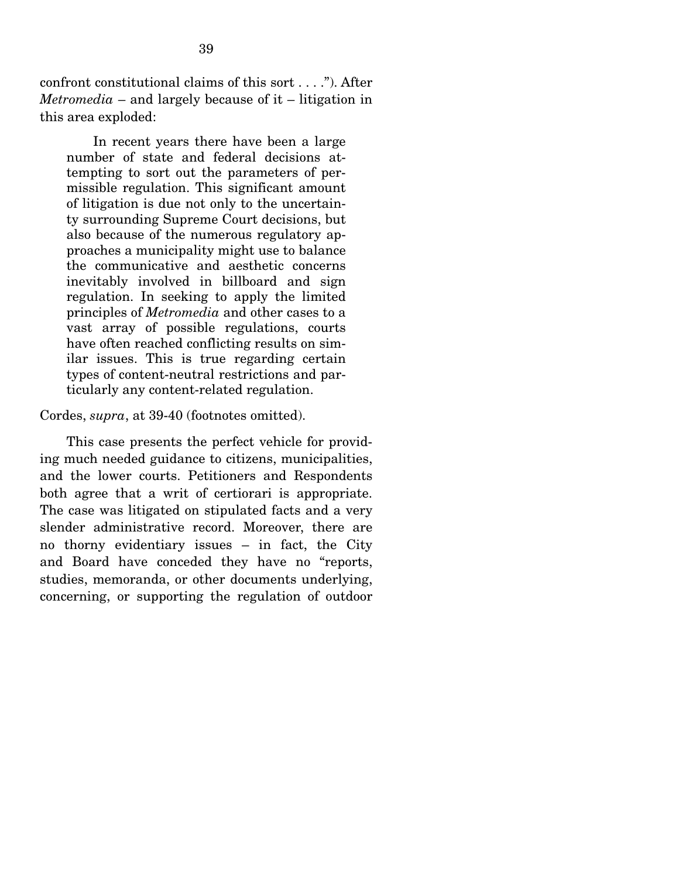confront constitutional claims of this sort . . . ."). After *Metromedia* – and largely because of it – litigation in this area exploded:

 In recent years there have been a large number of state and federal decisions attempting to sort out the parameters of permissible regulation. This significant amount of litigation is due not only to the uncertainty surrounding Supreme Court decisions, but also because of the numerous regulatory approaches a municipality might use to balance the communicative and aesthetic concerns inevitably involved in billboard and sign regulation. In seeking to apply the limited principles of *Metromedia* and other cases to a vast array of possible regulations, courts have often reached conflicting results on similar issues. This is true regarding certain types of content-neutral restrictions and particularly any content-related regulation.

#### Cordes, *supra*, at 39-40 (footnotes omitted).

 This case presents the perfect vehicle for providing much needed guidance to citizens, municipalities, and the lower courts. Petitioners and Respondents both agree that a writ of certiorari is appropriate. The case was litigated on stipulated facts and a very slender administrative record. Moreover, there are no thorny evidentiary issues – in fact, the City and Board have conceded they have no "reports, studies, memoranda, or other documents underlying, concerning, or supporting the regulation of outdoor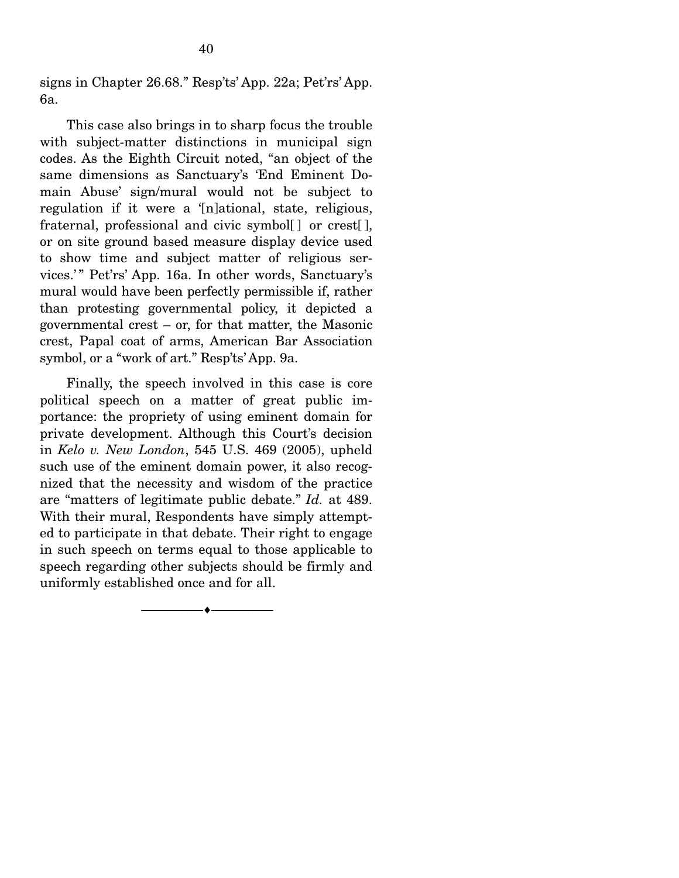signs in Chapter 26.68." Resp'ts' App. 22a; Pet'rs' App. 6a.

 This case also brings in to sharp focus the trouble with subject-matter distinctions in municipal sign codes. As the Eighth Circuit noted, "an object of the same dimensions as Sanctuary's 'End Eminent Domain Abuse' sign/mural would not be subject to regulation if it were a '[n]ational, state, religious, fraternal, professional and civic symbol[ ] or crest[ ], or on site ground based measure display device used to show time and subject matter of religious services.'" Pet'rs' App. 16a. In other words, Sanctuary's mural would have been perfectly permissible if, rather than protesting governmental policy, it depicted a governmental crest – or, for that matter, the Masonic crest, Papal coat of arms, American Bar Association symbol, or a "work of art." Resp'ts' App. 9a.

 Finally, the speech involved in this case is core political speech on a matter of great public importance: the propriety of using eminent domain for private development. Although this Court's decision in *Kelo v. New London*, 545 U.S. 469 (2005), upheld such use of the eminent domain power, it also recognized that the necessity and wisdom of the practice are "matters of legitimate public debate." *Id.* at 489. With their mural, Respondents have simply attempted to participate in that debate. Their right to engage in such speech on terms equal to those applicable to speech regarding other subjects should be firmly and uniformly established once and for all.

--------------------------------- ♦ ---------------------------------